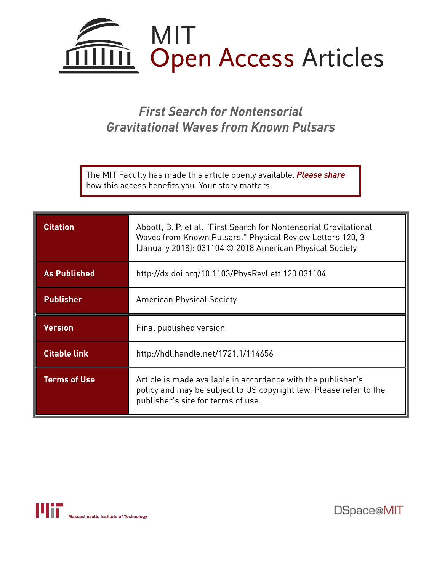

## *First Search for Nontensorial Gravitational Waves from Known Pulsars*

The MIT Faculty has made this article openly available. *[Please](https://libraries.mit.edu/forms/dspace-oa-articles.html) share* how this access benefits you. Your story matters.

| <b>Citation</b>     | Abbott, B.P. et al. "First Search for Nontensorial Gravitational<br>Waves from Known Pulsars." Physical Review Letters 120, 3<br>(January 2018): 031104 © 2018 American Physical Society |  |  |
|---------------------|------------------------------------------------------------------------------------------------------------------------------------------------------------------------------------------|--|--|
| <b>As Published</b> | http://dx.doi.org/10.1103/PhysRevLett.120.031104                                                                                                                                         |  |  |
| <b>Publisher</b>    | <b>American Physical Society</b>                                                                                                                                                         |  |  |
|                     | Final published version                                                                                                                                                                  |  |  |
| <b>Version</b>      |                                                                                                                                                                                          |  |  |
| <b>Citable link</b> | http://hdl.handle.net/1721.1/114656                                                                                                                                                      |  |  |



DSpace@MIT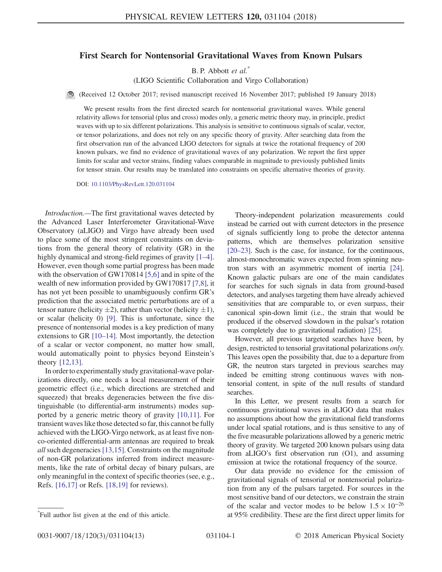## First Search for Nontensorial Gravitational Waves from Known Pulsars

B. P. Abbott et al.<sup>\*</sup>

(LIGO Scientific Collaboration and Virgo Collaboration)

(Received 12 October 2017; revised manuscript received 16 November 2017; published 19 January 2018)

We present results from the first directed search for nontensorial gravitational waves. While general relativity allows for tensorial (plus and cross) modes only, a generic metric theory may, in principle, predict waves with up to six different polarizations. This analysis is sensitive to continuous signals of scalar, vector, or tensor polarizations, and does not rely on any specific theory of gravity. After searching data from the first observation run of the advanced LIGO detectors for signals at twice the rotational frequency of 200 known pulsars, we find no evidence of gravitational waves of any polarization. We report the first upper limits for scalar and vector strains, finding values comparable in magnitude to previously published limits for tensor strain. Our results may be translated into constraints on specific alternative theories of gravity.

DOI: [10.1103/PhysRevLett.120.031104](https://doi.org/10.1103/PhysRevLett.120.031104)

Introduction.—The first gravitational waves detected by the Advanced Laser Interferometer Gravitational-Wave Observatory (aLIGO) and Virgo have already been used to place some of the most stringent constraints on deviations from the general theory of relativity (GR) in the highly dynamical and strong-field regimes of gravity [\[1](#page-7-0)–4]. However, even though some partial progress has been made with the observation of GW170814 [\[5,6\]](#page-7-1) and in spite of the wealth of new information provided by GW170817 [\[7,8\]](#page-7-2), it has not yet been possible to unambiguously confirm GR's prediction that the associated metric perturbations are of a tensor nature (helicity  $\pm 2$ ), rather than vector (helicity  $\pm 1$ ), or scalar (helicity 0) [\[9\].](#page-7-3) This is unfortunate, since the presence of nontensorial modes is a key prediction of many extensions to GR [\[10](#page-7-4)–14]. Most importantly, the detection of a scalar or vector component, no matter how small, would automatically point to physics beyond Einstein's theory [\[12,13\].](#page-7-5)

In order to experimentally study gravitational-wave polarizations directly, one needs a local measurement of their geometric effect (i.e., which directions are stretched and squeezed) that breaks degeneracies between the five distinguishable (to differential-arm instruments) modes supported by a generic metric theory of gravity [\[10,11\]](#page-7-4). For transient waves like those detected so far, this cannot be fully achieved with the LIGO-Virgo network, as at least five nonco-oriented differential-arm antennas are required to break all such degeneracies[\[13,15\].](#page-7-6) Constraints on the magnitude of non-GR polarizations inferred from indirect measurements, like the rate of orbital decay of binary pulsars, are only meaningful in the context of specific theories (see, e.g., Refs. [\[16,17\]](#page-7-7) or Refs. [\[18,19\]](#page-7-8) for reviews).

Theory-independent polarization measurements could instead be carried out with current detectors in the presence of signals sufficiently long to probe the detector antenna patterns, which are themselves polarization sensitive [\[20](#page-7-9)–23]. Such is the case, for instance, for the continuous, almost-monochromatic waves expected from spinning neutron stars with an asymmetric moment of inertia [\[24\]](#page-7-10). Known galactic pulsars are one of the main candidates for searches for such signals in data from ground-based detectors, and analyses targeting them have already achieved sensitivities that are comparable to, or even surpass, their canonical spin-down limit (i.e., the strain that would be produced if the observed slowdown in the pulsar's rotation was completely due to gravitational radiation) [\[25\]](#page-7-11).

However, all previous targeted searches have been, by design, restricted to tensorial gravitational polarizations only. This leaves open the possibility that, due to a departure from GR, the neutron stars targeted in previous searches may indeed be emitting strong continuous waves with nontensorial content, in spite of the null results of standard searches.

In this Letter, we present results from a search for continuous gravitational waves in aLIGO data that makes no assumptions about how the gravitational field transforms under local spatial rotations, and is thus sensitive to any of the five measurable polarizations allowed by a generic metric theory of gravity. We targeted 200 known pulsars using data from aLIGO's first observation run (O1), and assuming emission at twice the rotational frequency of the source.

Our data provide no evidence for the emission of gravitational signals of tensorial or nontensorial polarization from any of the pulsars targeted. For sources in the most sensitive band of our detectors, we constrain the strain of the scalar and vector modes to be below  $1.5 \times 10^{-26}$ at 95% credibility. These are the first direct upper limits for \*

Full author list given at the end of this article.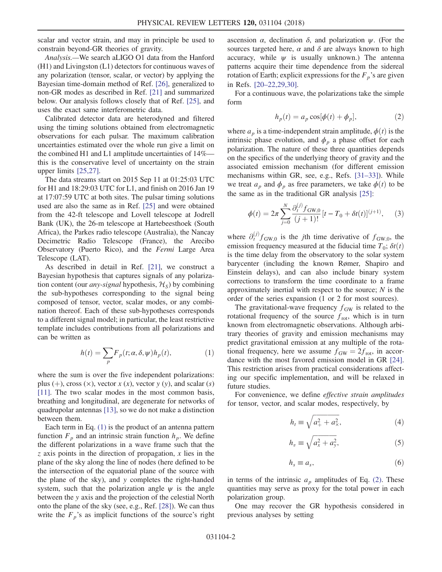scalar and vector strain, and may in principle be used to constrain beyond-GR theories of gravity.

Analysis.—We search aLIGO O1 data from the Hanford (H1) and Livingston (L1) detectors for continuous waves of any polarization (tensor, scalar, or vector) by applying the Bayesian time-domain method of Ref. [\[26\],](#page-7-12) generalized to non-GR modes as described in Ref. [\[21\]](#page-7-13) and summarized below. Our analysis follows closely that of Ref. [\[25\],](#page-7-11) and uses the exact same interferometric data.

Calibrated detector data are heterodyned and filtered using the timing solutions obtained from electromagnetic observations for each pulsar. The maximum calibration uncertainties estimated over the whole run give a limit on the combined H1 and L1 amplitude uncertainties of 14% this is the conservative level of uncertainty on the strain upper limits [\[25,27\].](#page-7-11)

The data streams start on 2015 Sep 11 at 01∶25:03 UTC for H1 and 18∶29:03 UTC for L1, and finish on 2016 Jan 19 at 17∶07:59 UTC at both sites. The pulsar timing solutions used are also the same as in Ref. [\[25\]](#page-7-11) and were obtained from the 42-ft telescope and Lovell telescope at Jodrell Bank (UK), the 26-m telescope at Hartebeesthoek (South Africa), the Parkes radio telescope (Australia), the Nancay Decimetric Radio Telescope (France), the Arecibo Observatory (Puerto Rico), and the Fermi Large Area Telescope (LAT).

As described in detail in Ref. [\[21\]](#page-7-13), we construct a Bayesian hypothesis that captures signals of any polarization content (our *any-signal* hypothesis,  $\mathcal{H}_S$ ) by combining the sub-hypotheses corresponding to the signal being composed of tensor, vector, scalar modes, or any combination thereof. Each of these sub-hypotheses corresponds to a different signal model; in particular, the least restrictive template includes contributions from all polarizations and can be written as

$$
h(t) = \sum_{p} F_p(t; \alpha, \delta, \psi) h_p(t), \qquad (1)
$$

<span id="page-2-0"></span>where the sum is over the five independent polarizations: plus  $(+)$ , cross  $(x)$ , vector x  $(x)$ , vector y  $(y)$ , and scalar  $(s)$ [\[11\]](#page-7-14). The two scalar modes in the most common basis, breathing and longitudinal, are degenerate for networks of quadrupolar antennas [\[13\],](#page-7-6) so we do not make a distinction between them.

Each term in Eq. [\(1\)](#page-2-0) is the product of an antenna pattern function  $F_p$  and an intrinsic strain function  $h_p$ . We define the different polarizations in a wave frame such that the  $\zeta$  axis points in the direction of propagation,  $\chi$  lies in the plane of the sky along the line of nodes (here defined to be the intersection of the equatorial plane of the source with the plane of the sky), and y completes the right-handed system, such that the polarization angle  $\psi$  is the angle between the y axis and the projection of the celestial North onto the plane of the sky (see, e.g., Ref. [\[28\]](#page-7-15)). We can thus write the  $F_p$ 's as implicit functions of the source's right ascension  $\alpha$ , declination  $\delta$ , and polarization  $\psi$ . (For the sources targeted here,  $\alpha$  and  $\delta$  are always known to high accuracy, while  $\psi$  is usually unknown.) The antenna patterns acquire their time dependence from the sidereal rotation of Earth; explicit expressions for the  $F_p$ 's are given in Refs. [20–[22,29,30\]](#page-7-9).

<span id="page-2-1"></span>For a continuous wave, the polarizations take the simple form

$$
h_p(t) = a_p \cos[\phi(t) + \phi_p],
$$
 (2)

where  $a_p$  is a time-independent strain amplitude,  $\phi(t)$  is the intrinsic phase evolution, and  $\phi_p$  a phase offset for each polarization. The nature of these three quantities depends on the specifics of the underlying theory of gravity and the associated emission mechanism (for different emission mechanisms within GR, see, e.g., Refs. [\[31](#page-7-16)–33]). While we treat  $a_p$  and  $\phi_p$  as free parameters, we take  $\phi(t)$  to be the same as in the traditional GR analysis [\[25\]](#page-7-11):

$$
\phi(t) = 2\pi \sum_{j=0}^{N} \frac{\partial_t^{(j)} f_{\text{GW},0}}{(j+1)!} [t - T_0 + \delta t(t)]^{(j+1)}, \quad (3)
$$

where  $\partial_t^{(j)} f_{\text{GW},0}$  is the *j*th time derivative of  $f_{\text{GW},0}$ , the emission frequency measured at the fiducial time  $T_0$ ;  $\delta t(t)$ is the time delay from the observatory to the solar system barycenter (including the known Rømer, Shapiro and Einstein delays), and can also include binary system corrections to transform the time coordinate to a frame approximately inertial with respect to the source;  $N$  is the order of the series expansion (1 or 2 for most sources).

The gravitational-wave frequency  $f_{GW}$  is related to the rotational frequency of the source  $f_{\text{rot}}$ , which is in turn known from electromagnetic observations. Although arbitrary theories of gravity and emission mechanisms may predict gravitational emission at any multiple of the rotational frequency, here we assume  $f_{GW} = 2f_{rot}$ , in accordance with the most favored emission model in GR [\[24\]](#page-7-10). This restriction arises from practical considerations affecting our specific implementation, and will be relaxed in future studies.

<span id="page-2-3"></span>For convenience, we define effective strain amplitudes for tensor, vector, and scalar modes, respectively, by

$$
h_t \equiv \sqrt{a_+^2 + a_{\times}^2},\tag{4}
$$

$$
h_v \equiv \sqrt{a_x^2 + a_y^2},\tag{5}
$$

$$
h_s \equiv a_s,\tag{6}
$$

<span id="page-2-4"></span>in terms of the intrinsic  $a_p$  amplitudes of Eq. [\(2\).](#page-2-1) These quantities may serve as proxy for the total power in each polarization group.

<span id="page-2-2"></span>One may recover the GR hypothesis considered in previous analyses by setting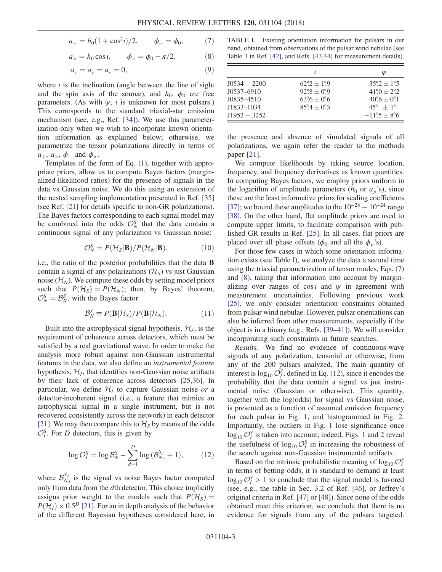$$
a_{+} = h_0(1 + \cos^2 t)/2, \qquad \phi_{+} = \phi_0, \tag{7}
$$

<span id="page-3-1"></span>
$$
a_{\times} = h_0 \cos \iota, \qquad \phi_{\times} = \phi_0 - \pi/2, \tag{8}
$$

$$
a_x = a_y = a_s = 0,\t\t(9)
$$

where  $\iota$  is the inclination (angle between the line of sight and the spin axis of the source), and  $h_0$ ,  $\phi_0$  are free parameters. (As with  $\psi$ , *i* is unknown for most pulsars.) This corresponds to the standard triaxial-star emission mechanism (see, e.g., Ref. [\[34\]\)](#page-7-17). We use this parameterization only when we wish to incorporate known orientation information as explained below; otherwise, we parametrize the tensor polarizations directly in terms of  $a_+$ ,  $a_{\times}$ ,  $\phi_+$  and  $\phi_{\times}$ .

Templates of the form of Eq. [\(1\),](#page-2-0) together with appropriate priors, allow us to compute Bayes factors (marginalized-likelihood ratios) for the presence of signals in the data vs Gaussian noise. We do this using an extension of the nested sampling implementation presented in Ref. [\[35\]](#page-7-18) (see Ref. [\[21\]](#page-7-13) for details specific to non-GR polarizations). The Bayes factors corresponding to each signal model may be combined into the odds  $\mathcal{O}_N^S$  that the data contain a continuous signal of any polarization vs Gaussian noise:

$$
\mathcal{O}_N^S = P(\mathcal{H}_S | \mathbf{B}) / P(\mathcal{H}_N | \mathbf{B}),\tag{10}
$$

<span id="page-3-3"></span>i.e., the ratio of the posterior probabilities that the data B contain a signal of any polarizations  $(\mathcal{H}_S)$  vs just Gaussian noise  $(\mathcal{H}_N)$ . We compute these odds by setting model priors such that  $P(\mathcal{H}_S) = P(\mathcal{H}_N)$ ; then, by Bayes' theorem,  $\mathcal{O}_N^S = \mathcal{B}_N^S$ , with the Bayes factor

$$
\mathcal{B}_N^S \equiv P(\mathbf{B}|\mathcal{H}_S)/P(\mathbf{B}|\mathcal{H}_N). \tag{11}
$$

Built into the astrophysical signal hypothesis,  $\mathcal{H}_s$ , is the requirement of coherence across detectors, which must be satisfied by a real gravitational wave. In order to make the analysis more robust against non-Gaussian instrumental features in the data, we also define an instrumental feature hypothesis,  $\mathcal{H}_I$ , that identifies non-Gaussian noise artifacts by their lack of coherence across detectors [\[25,36\]](#page-7-11). In particular, we define  $\mathcal{H}_I$  to capture Gaussian noise or a detector-incoherent signal (i.e., a feature that mimics an astrophysical signal in a single instrument, but is not recovered consistently across the network) in each detector [\[21\]](#page-7-13). We may then compare this to  $\mathcal{H}_\mathcal{S}$  by means of the odds  $\mathcal{O}_I^S$ . For D detectors, this is given by

<span id="page-3-2"></span>
$$
\log \mathcal{O}_I^S = \log \mathcal{B}_N^S - \sum_{d=1}^D \log \left( \mathcal{B}_{N_d}^{S_d} + 1 \right),\tag{12}
$$

where  $\mathcal{B}_{N_d}^{S_d}$  is the signal vs noise Bayes factor computed only from data from the dth detector. This choice implicitly assigns prior weight to the models such that  $P(\mathcal{H}_S) =$  $P(\mathcal{H}_I) \times 0.5^D$  [\[21\].](#page-7-13) For an in depth analysis of the behavior of the different Bayesian hypotheses considered here, in

<span id="page-3-0"></span>TABLE I. Existing orientation information for pulsars in our band, obtained from observations of the pulsar wind nebulae (see Table 3 in Ref. [\[42\],](#page-8-4) and Refs. [\[43,44\]](#page-8-5) for measurement details).

|                |                                    | W                           |
|----------------|------------------------------------|-----------------------------|
| $J0534 + 2200$ | $62^\circ$ : 2 + 1.99              | $35\degree 2 + 1\degree 5$  |
| $J0537 - 6910$ | $92^{\circ}8 + 0^{\circ}9$         | $41^\circ 0 + 2^\circ 2$    |
| $J0835 - 4510$ | $63\% + 0\%$                       | $40\% + 0\%$                |
| J1833-1034     | $85^\circ\!\!.4 \pm 0^\circ\!\!.3$ | $45^{\circ} + 1^{\circ}$    |
| $J1952 + 3252$ |                                    | $-11^{\circ}5 + 8^{\circ}6$ |

the presence and absence of simulated signals of all polarizations, we again refer the reader to the methods paper [\[21\].](#page-7-13)

We compute likelihoods by taking source location, frequency, and frequency derivatives as known quantities. In computing Bayes factors, we employ priors uniform in the logarithm of amplitude parameters  $(h_0 \text{ or } a_p \text{'s})$ , since these are the least informative priors for scaling coefficients [\[37\]](#page-7-19); we bound these amplitudes to the  $10^{-28} - 10^{-24}$  range [\[38\]](#page-7-20). On the other hand, flat amplitude priors are used to compute upper limits, to facilitate comparison with published GR results in Ref. [\[25\]](#page-7-11). In all cases, flat priors are placed over all phase offsets ( $\phi_0$  and all the  $\phi_p$ 's).

For those few cases in which some orientation information exists (see Table [I\)](#page-3-0), we analyze the data a second time using the triaxial parametrization of tensor modes, Eqs. [\(7\)](#page-2-2) and [\(8\)](#page-3-1), taking that information into account by marginalizing over ranges of  $\cos i$  and  $\psi$  in agreement with measurement uncertainties. Following previous work [\[25\]](#page-7-11), we only consider orientation constraints obtained from pulsar wind nebulae. However, pulsar orientations can also be inferred from other measurements, especially if the object is in a binary (e.g., Refs. [\[39](#page-8-0)–41]). We will consider incorporating such constraints in future searches.

Results.—We find no evidence of continuous-wave signals of any polarization, tensorial or otherwise, from any of the 200 pulsars analyzed. The main quantity of interest is  $\log_{10} \tilde{\mathcal{O}_I^S}$ , defined in Eq. [\(12\),](#page-3-2) since it encodes the probability that the data contain a signal vs just instrumental noise (Gaussian or otherwise). This quantity, together with the log(odds) for signal vs Gaussian noise, is presented as a function of assumed emission frequency for each pulsar in Fig. [1,](#page-4-0) and histogrammed in Fig. [2](#page-4-1). Importantly, the outliers in Fig. [1](#page-4-0) lose significance once  $\log_{10} \mathcal{O}_I^S$  $\log_{10} \mathcal{O}_I^S$  $\log_{10} \mathcal{O}_I^S$  is taken into account; indeed, Figs. 1 and [2](#page-4-1) reveal the usefulness of  $\log_{10} \mathcal{O}_I^S$  in increasing the robustness of the search against non-Gaussian instrumental artifacts.

Based on the intrinsic probabilistic meaning of  $\log_{10} \mathcal{O}_I^S$ in terms of betting odds, it is standard to demand at least  $\log_{10} \mathcal{O}_I^S > 1$  to conclude that the signal model is favored (see, e.g., the table in Sec. 3.2 of Ref. [\[46\]](#page-8-1), or Jeffrey's original criteria in Ref. [\[47\]](#page-8-2) or [\[48\]](#page-8-3)). Since none of the odds obtained meet this criterion, we conclude that there is no evidence for signals from any of the pulsars targeted.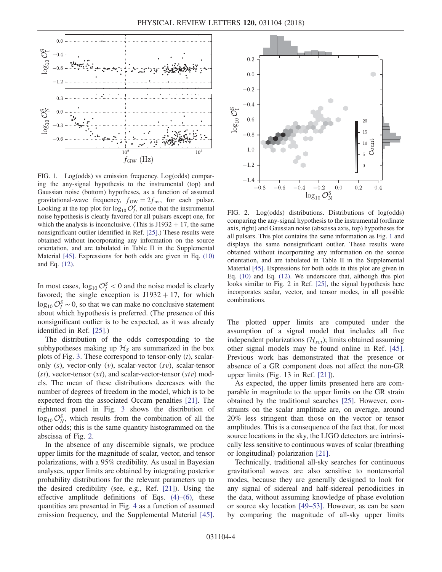<span id="page-4-0"></span>

FIG. 1. Log(odds) vs emission frequency. Log(odds) comparing the any-signal hypothesis to the instrumental (top) and Gaussian noise (bottom) hypotheses, as a function of assumed gravitational-wave frequency,  $f_{GW} = 2f_{rot}$ , for each pulsar. Looking at the top plot for  $\log_{10} \mathcal{O}_I^S$ , notice that the instrumental noise hypothesis is clearly favored for all pulsars except one, for which the analysis is inconclusive. (This is  $J1932 + 17$ , the same nonsignificant outlier identified in Ref. [\[25\]](#page-7-11).) These results were obtained without incorporating any information on the source orientation, and are tabulated in Table II in the Supplemental Material [\[45\]](#page-8-6). Expressions for both odds are given in Eq. [\(10\)](#page-3-3) and Eq. [\(12\).](#page-3-2)

In most cases,  $\log_{10} \mathcal{O}_I^S < 0$  and the noise model is clearly favored; the single exception is  $J1932 + 17$ , for which  $\log_{10} \mathcal{O}_I^S \sim 0$ , so that we can make no conclusive statement about which hypothesis is preferred. (The presence of this nonsignificant outlier is to be expected, as it was already identified in Ref. [\[25\]](#page-7-11).)

The distribution of the odds corresponding to the subhypotheses making up  $\mathcal{H}_s$  are summarized in the box plots of Fig. [3](#page-5-0). These correspond to tensor-only  $(t)$ , scalaronly  $(s)$ , vector-only  $(v)$ , scalar-vector  $(sv)$ , scalar-tensor  $(st)$ , vector-tensor  $(vt)$ , and scalar-vector-tensor  $(stv)$  models. The mean of these distributions decreases with the number of degrees of freedom in the model, which is to be expected from the associated Occam penalties [\[21\].](#page-7-13) The rightmost panel in Fig. [3](#page-5-0) shows the distribution of  $\log_{10} \mathcal{O}_N^S$ , which results from the combination of all the other odds; this is the same quantity histogrammed on the abscissa of Fig. [2](#page-4-1).

In the absence of any discernible signals, we produce upper limits for the magnitude of scalar, vector, and tensor polarizations, with a 95% credibility. As usual in Bayesian analyses, upper limits are obtained by integrating posterior probability distributions for the relevant parameters up to the desired credibility (see, e.g., Ref. [\[21\]](#page-7-13)). Using the effective amplitude definitions of Eqs.  $(4)$ – $(6)$ , these quantities are presented in Fig. [4](#page-6-0) as a function of assumed emission frequency, and the Supplemental Material [\[45\]](#page-8-6).

<span id="page-4-1"></span>

FIG. 2. Log(odds) distributions. Distributions of log(odds) comparing the any-signal hypothesis to the instrumental (ordinate axis, right) and Gaussian noise (abscissa axis, top) hypotheses for all pulsars. This plot contains the same information as Fig. [1](#page-4-0) and displays the same nonsignificant outlier. These results were obtained without incorporating any information on the source orientation, and are tabulated in Table II in the Supplemental Material [\[45\]](#page-8-6). Expressions for both odds in this plot are given in Eq. [\(10\)](#page-3-3) and Eq. [\(12\).](#page-3-2) We underscore that, although this plot looks similar to Fig. 2 in Ref. [\[25\],](#page-7-11) the signal hypothesis here incorporates scalar, vector, and tensor modes, in all possible combinations.

The plotted upper limits are computed under the assumption of a signal model that includes all five independent polarizations  $(\mathcal{H}_{svt})$ ; limits obtained assuming other signal models may be found online in Ref. [\[45\]](#page-8-6). Previous work has demonstrated that the presence or absence of a GR component does not affect the non-GR upper limits (Fig. 13 in Ref. [\[21\]](#page-7-13)).

As expected, the upper limits presented here are comparable in magnitude to the upper limits on the GR strain obtained by the traditional searches [\[25\]](#page-7-11). However, constraints on the scalar amplitude are, on average, around 20% less stringent than those on the vector or tensor amplitudes. This is a consequence of the fact that, for most source locations in the sky, the LIGO detectors are intrinsically less sensitive to continuous waves of scalar (breathing or longitudinal) polarization [\[21\].](#page-7-13)

Technically, traditional all-sky searches for continuous gravitational waves are also sensitive to nontensorial modes, because they are generally designed to look for any signal of sidereal and half-sidereal periodicities in the data, without assuming knowledge of phase evolution or source sky location [49–[53\].](#page-8-7) However, as can be seen by comparing the magnitude of all-sky upper limits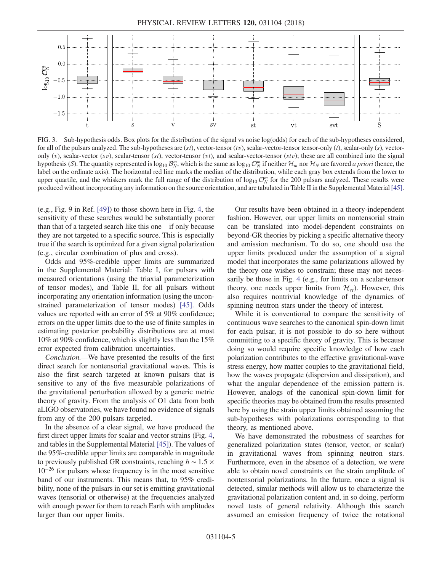<span id="page-5-0"></span>

FIG. 3. Sub-hypothesis odds. Box plots for the distribution of the signal vs noise log(odds) for each of the sub-hypotheses considered, for all of the pulsars analyzed. The sub-hypotheses are  $(st)$ , vector-tensor  $(tv)$ , scalar-vector-tensor tensor-only  $(t)$ , scalar-only  $(s)$ , vectoronly  $(v)$ , scalar-vector  $(sv)$ , scalar-tensor  $(st)$ , vector-tensor  $(vt)$ , and scalar-vector-tensor  $(stv)$ ; these are all combined into the signal hypothesis (S). The quantity represented is  $\log_{10} B_N^m$ , which is the same as  $\log_{10} O_N^m$  if neither  $\mathcal{H}_m$  nor  $\mathcal{H}_N$  are favored a priori (hence, the label on the ordinate axis). The horizontal red line marks the median of the distribution, while each gray box extends from the lower to upper quartile, and the whiskers mark the full range of the distribution of  $\log_{10} \mathcal{O}_N^m$  for the 200 pulsars analyzed. These results were produced without incorporating any information on the source orientation, and are tabulated in Table II in the Supplemental Material [\[45\].](#page-8-6)

(e.g., Fig. 9 in Ref. [\[49\]\)](#page-8-7) to those shown here in Fig. [4,](#page-6-0) the sensitivity of these searches would be substantially poorer than that of a targeted search like this one—if only because they are not targeted to a specific source. This is especially true if the search is optimized for a given signal polarization (e.g., circular combination of plus and cross).

Odds and 95%-credible upper limits are summarized in the Supplemental Material: Table I, for pulsars with measured orientations (using the triaxial parameterization of tensor modes), and Table II, for all pulsars without incorporating any orientation information (using the unconstrained parameterization of tensor modes) [\[45\]](#page-8-6). Odds values are reported with an error of 5% at 90% confidence; errors on the upper limits due to the use of finite samples in estimating posterior probability distributions are at most 10% at 90% confidence, which is slightly less than the 15% error expected from calibration uncertainties.

Conclusion.—We have presented the results of the first direct search for nontensorial gravitational waves. This is also the first search targeted at known pulsars that is sensitive to any of the five measurable polarizations of the gravitational perturbation allowed by a generic metric theory of gravity. From the analysis of O1 data from both aLIGO observatories, we have found no evidence of signals from any of the 200 pulsars targeted.

In the absence of a clear signal, we have produced the first direct upper limits for scalar and vector strains (Fig. [4](#page-6-0), and tables in the Supplemental Material [\[45\]\)](#page-8-6). The values of the 95%-credible upper limits are comparable in magnitude to previously published GR constraints, reaching  $h \sim 1.5 \times$ 10<sup>−</sup><sup>26</sup> for pulsars whose frequency is in the most sensitive band of our instruments. This means that, to 95% credibility, none of the pulsars in our set is emitting gravitational waves (tensorial or otherwise) at the frequencies analyzed with enough power for them to reach Earth with amplitudes larger than our upper limits.

Our results have been obtained in a theory-independent fashion. However, our upper limits on nontensorial strain can be translated into model-dependent constraints on beyond-GR theories by picking a specific alternative theory and emission mechanism. To do so, one should use the upper limits produced under the assumption of a signal model that incorporates the same polarizations allowed by the theory one wishes to constrain; these may not necessarily be those in Fig. [4](#page-6-0) (e.g., for limits on a scalar-tensor theory, one needs upper limits from  $\mathcal{H}_{st}$ ). However, this also requires nontrivial knowledge of the dynamics of spinning neutron stars under the theory of interest.

While it is conventional to compare the sensitivity of continuous wave searches to the canonical spin-down limit for each pulsar, it is not possible to do so here without committing to a specific theory of gravity. This is because doing so would require specific knowledge of how each polarization contributes to the effective gravitational-wave stress energy, how matter couples to the gravitational field, how the waves propagate (dispersion and dissipation), and what the angular dependence of the emission pattern is. However, analogs of the canonical spin-down limit for specific theories may be obtained from the results presented here by using the strain upper limits obtained assuming the sub-hypotheses with polarizations corresponding to that theory, as mentioned above.

We have demonstrated the robustness of searches for generalized polarization states (tensor, vector, or scalar) in gravitational waves from spinning neutron stars. Furthermore, even in the absence of a detection, we were able to obtain novel constraints on the strain amplitude of nontensorial polarizations. In the future, once a signal is detected, similar methods will allow us to characterize the gravitational polarization content and, in so doing, perform novel tests of general relativity. Although this search assumed an emission frequency of twice the rotational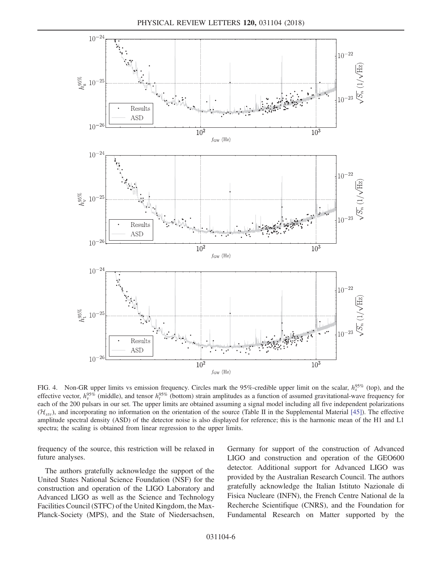<span id="page-6-0"></span>

FIG. 4. Non-GR upper limits vs emission frequency. Circles mark the 95%-credible upper limit on the scalar,  $h_s^{95\%}$  (top), and the effective vector,  $h_v^{95\%}$  (middle), and tensor  $h_t^{95\%}$  (bottom) strain amplitudes as a function of assumed gravitational-wave frequency for each of the 200 pulsars in our set. The upper limits are obtained assuming a signal model including all five independent polarizations  $(\mathcal{H}_{str})$ , and incorporating no information on the orientation of the source (Table II in the Supplemental Material [\[45\]\)](#page-8-6). The effective amplitude spectral density (ASD) of the detector noise is also displayed for reference; this is the harmonic mean of the H1 and L1 spectra; the scaling is obtained from linear regression to the upper limits.

frequency of the source, this restriction will be relaxed in future analyses.

The authors gratefully acknowledge the support of the United States National Science Foundation (NSF) for the construction and operation of the LIGO Laboratory and Advanced LIGO as well as the Science and Technology Facilities Council (STFC) of the United Kingdom, the Max-Planck-Society (MPS), and the State of Niedersachsen, Germany for support of the construction of Advanced LIGO and construction and operation of the GEO600 detector. Additional support for Advanced LIGO was provided by the Australian Research Council. The authors gratefully acknowledge the Italian Istituto Nazionale di Fisica Nucleare (INFN), the French Centre National de la Recherche Scientifique (CNRS), and the Foundation for Fundamental Research on Matter supported by the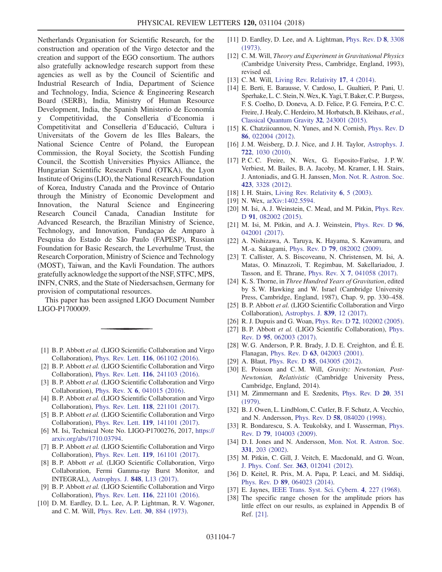Netherlands Organisation for Scientific Research, for the construction and operation of the Virgo detector and the creation and support of the EGO consortium. The authors also gratefully acknowledge research support from these agencies as well as by the Council of Scientific and Industrial Research of India, Department of Science and Technology, India, Science & Engineering Research Board (SERB), India, Ministry of Human Resource Development, India, the Spanish Ministerio de Economía y Competitividad, the Conselleria d'Economia i Competitivitat and Conselleria d'Educació, Cultura i Universitats of the Govern de les Illes Balears, the National Science Centre of Poland, the European Commission, the Royal Society, the Scottish Funding Council, the Scottish Universities Physics Alliance, the Hungarian Scientific Research Fund (OTKA), the Lyon Institute of Origins (LIO), the National Research Foundation of Korea, Industry Canada and the Province of Ontario through the Ministry of Economic Development and Innovation, the Natural Science and Engineering Research Council Canada, Canadian Institute for Advanced Research, the Brazilian Ministry of Science, Technology, and Innovation, Fundaçao de Amparo à Pesquisa do Estado de São Paulo (FAPESP), Russian Foundation for Basic Research, the Leverhulme Trust, the Research Corporation, Ministry of Science and Technology (MOST), Taiwan, and the Kavli Foundation. The authors gratefully acknowledge the support of the NSF, STFC, MPS, INFN, CNRS, and the State of Niedersachsen, Germany for provision of computational resources.

This paper has been assigned LIGO Document Number LIGO-P1700009.

- <span id="page-7-0"></span>[1] B. P. Abbott et al. (LIGO Scientific Collaboration and Virgo Collaboration), Phys. Rev. Lett. 116[, 061102 \(2016\)](https://doi.org/10.1103/PhysRevLett.116.061102).
- [2] B. P. Abbott et al. (LIGO Scientific Collaboration and Virgo Collaboration), Phys. Rev. Lett. 116[, 241103 \(2016\)](https://doi.org/10.1103/PhysRevLett.116.241103).
- [3] B. P. Abbott et al. (LIGO Scientific Collaboration and Virgo Collaboration), Phys. Rev. X 6[, 041015 \(2016\)](https://doi.org/10.1103/PhysRevX.6.041015).
- <span id="page-7-1"></span>[4] B. P. Abbott et al. (LIGO Scientific Collaboration and Virgo Collaboration), Phys. Rev. Lett. 118[, 221101 \(2017\)](https://doi.org/10.1103/PhysRevLett.118.221101).
- [5] B. P. Abbott et al. (LIGO Scientific Collaboration and Virgo Collaboration), Phys. Rev. Lett. 119[, 141101 \(2017\)](https://doi.org/10.1103/PhysRevLett.119.141101).
- <span id="page-7-2"></span>[6] M. Isi, Technical Note No. LIGO-P1700276, 2017, [https://](https://arxiv.org/abs/1710.03794) [arxiv.org/abs/1710.03794](https://arxiv.org/abs/1710.03794).
- [7] B. P. Abbott et al. (LIGO Scientific Collaboration and Virgo Collaboration), Phys. Rev. Lett. 119[, 161101 \(2017\)](https://doi.org/10.1103/PhysRevLett.119.161101).
- <span id="page-7-3"></span>[8] B. P. Abbott et al. (LIGO Scientific Collaboration, Virgo Collaboration, Fermi Gamma-ray Burst Monitor, and INTEGRAL), [Astrophys. J.](https://doi.org/10.3847/2041-8213/aa920c) 848, L13 (2017).
- <span id="page-7-4"></span>[9] B. P. Abbott et al. (LIGO Scientific Collaboration and Virgo Collaboration), Phys. Rev. Lett. 116[, 221101 \(2016\)](https://doi.org/10.1103/PhysRevLett.116.221101).
- [10] D. M. Eardley, D. L. Lee, A. P. Lightman, R. V. Wagoner, and C. M. Will, [Phys. Rev. Lett.](https://doi.org/10.1103/PhysRevLett.30.884) 30, 884 (1973).
- <span id="page-7-14"></span>[11] D. Eardley, D. Lee, and A. Lightman, [Phys. Rev. D](https://doi.org/10.1103/PhysRevD.8.3308) 8, 3308 [\(1973\).](https://doi.org/10.1103/PhysRevD.8.3308)
- <span id="page-7-5"></span>[12] C. M. Will, Theory and Experiment in Gravitational Physics (Cambridge University Press, Cambridge, England, 1993), revised ed.
- <span id="page-7-6"></span>[13] C. M. Will, [Living Rev. Relativity](https://doi.org/10.12942/lrr-2014-4) 17, 4 (2014).
- [14] E. Berti, E. Barausse, V. Cardoso, L. Gualtieri, P. Pani, U. Sperhake, L. C. Stein, N.Wex, K. Yagi, T. Baker, C. P. Burgess, F. S. Coelho, D. Doneva, A. D. Felice, P. G. Ferreira, P. C. C. Freire, J. Healy, C. Herdeiro, M. Horbatsch, B. Kleihaus, et al., [Classical Quantum Gravity](https://doi.org/10.1088/0264-9381/32/24/243001) 32, 243001 (2015).
- [15] K. Chatziioannou, N. Yunes, and N. Cornish, [Phys. Rev. D](https://doi.org/10.1103/PhysRevD.86.022004). 86[, 022004 \(2012\).](https://doi.org/10.1103/PhysRevD.86.022004)
- <span id="page-7-7"></span>[16] J. M. Weisberg, D. J. Nice, and J. H. Taylor, [Astrophys. J.](https://doi.org/10.1088/0004-637X/722/2/1030) 722[, 1030 \(2010\)](https://doi.org/10.1088/0004-637X/722/2/1030).
- [17] P. C. C. Freire, N. Wex, G. Esposito-Farèse, J. P. W. Verbiest, M. Bailes, B. A. Jacoby, M. Kramer, I. H. Stairs, J. Antoniadis, and G. H. Janssen, [Mon. Not. R. Astron. Soc.](https://doi.org/10.1111/j.1365-2966.2012.21253.x) 423[, 3328 \(2012\)](https://doi.org/10.1111/j.1365-2966.2012.21253.x).
- <span id="page-7-8"></span>[18] I. H. Stairs, [Living Rev. Relativity](https://doi.org/10.12942/lrr-2003-5) 6, 5 (2003).
- <span id="page-7-9"></span>[19] N. Wex, [arXiv:1402.5594.](http://arXiv.org/abs/1402.5594)
- [20] M. Isi, A. J. Weinstein, C. Mead, and M. Pitkin, [Phys. Rev.](https://doi.org/10.1103/PhysRevD.91.082002) D **91**[, 082002 \(2015\)](https://doi.org/10.1103/PhysRevD.91.082002).
- <span id="page-7-13"></span>[21] M. Isi, M. Pitkin, and A. J. Weinstein, [Phys. Rev. D](https://doi.org/10.1103/PhysRevD.96.042001) 96, [042001 \(2017\).](https://doi.org/10.1103/PhysRevD.96.042001)
- [22] A. Nishizawa, A. Taruya, K. Hayama, S. Kawamura, and M.-a. Sakagami, Phys. Rev. D 79[, 082002 \(2009\)](https://doi.org/10.1103/PhysRevD.79.082002).
- [23] T. Callister, A. S. Biscoveanu, N. Christensen, M. Isi, A. Matas, O. Minazzoli, T. Regimbau, M. Sakellariadou, J. Tasson, and E. Thrane, Phys. Rev. X 7[, 041058 \(2017\)](https://doi.org/10.1103/PhysRevX.7.041058).
- <span id="page-7-10"></span>[24] K. S. Thorne, in Three Hundred Years of Gravitation, edited by S. W. Hawking and W. Israel (Cambridge University Press, Cambridge, England, 1987), Chap. 9, pp. 330–458.
- <span id="page-7-11"></span>[25] B. P. Abbott et al. (LIGO Scientific Collaboration and Virgo Collaboration), [Astrophys. J.](https://doi.org/10.3847/1538-4357/aa677f) 839, 12 (2017).
- <span id="page-7-12"></span>[26] R. J. Dupuis and G. Woan, Phys. Rev. D 72[, 102002 \(2005\).](https://doi.org/10.1103/PhysRevD.72.102002)
- [27] B. P. Abbott et al. (LIGO Scientific Collaboration), [Phys.](https://doi.org/10.1103/PhysRevD.95.062003) Rev. D 95[, 062003 \(2017\)](https://doi.org/10.1103/PhysRevD.95.062003).
- <span id="page-7-15"></span>[28] W. G. Anderson, P. R. Brady, J. D. E. Creighton, and É. E. Flanagan, Phys. Rev. D 63[, 042003 \(2001\).](https://doi.org/10.1103/PhysRevD.63.042003)
- [29] A. Błaut, Phys. Rev. D **85**[, 043005 \(2012\)](https://doi.org/10.1103/PhysRevD.85.043005).
- [30] E. Poisson and C. M. Will, Gravity: Newtonian, Post-Newtonian, Relativistic (Cambridge University Press, Cambridge, England, 2014).
- <span id="page-7-16"></span>[31] M. Zimmermann and E. Szedenits, [Phys. Rev. D](https://doi.org/10.1103/PhysRevD.20.351) 20, 351 [\(1979\).](https://doi.org/10.1103/PhysRevD.20.351)
- [32] B. J. Owen, L. Lindblom, C. Cutler, B. F. Schutz, A. Vecchio, and N. Andersson, Phys. Rev. D 58[, 084020 \(1998\)](https://doi.org/10.1103/PhysRevD.58.084020).
- [33] R. Bondarescu, S. A. Teukolsky, and I. Wasserman, [Phys.](https://doi.org/10.1103/PhysRevD.79.104003) Rev. D 79[, 104003 \(2009\)](https://doi.org/10.1103/PhysRevD.79.104003).
- <span id="page-7-18"></span><span id="page-7-17"></span>[34] D. I. Jones and N. Andersson, [Mon. Not. R. Astron. Soc.](https://doi.org/10.1046/j.1365-8711.2002.05180.x) 331[, 203 \(2002\)](https://doi.org/10.1046/j.1365-8711.2002.05180.x).
- [35] M. Pitkin, C. Gill, J. Veitch, E. Macdonald, and G. Woan, [J. Phys. Conf. Ser.](https://doi.org/10.1088/1742-6596/363/1/012041) 363, 012041 (2012).
- <span id="page-7-19"></span>[36] D. Keitel, R. Prix, M. A. Papa, P. Leaci, and M. Siddiqi, Phys. Rev. D 89[, 064023 \(2014\)](https://doi.org/10.1103/PhysRevD.89.064023).
- <span id="page-7-20"></span>[37] E. Jaynes, [IEEE Trans. Syst. Sci. Cybern.](https://doi.org/10.1109/TSSC.1968.300117) 4, 227 (1968).
- [38] The specific range chosen for the amplitude priors has little effect on our results, as explained in Appendix B of Ref. [\[21\].](#page-7-13)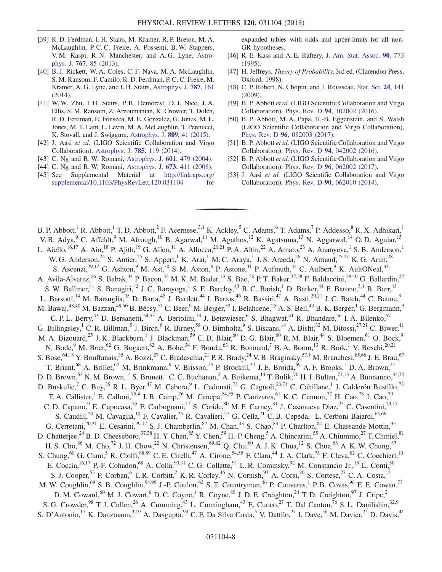- <span id="page-8-0"></span>[39] R. D. Ferdman, I. H. Stairs, M. Kramer, R. P. Breton, M. A. McLaughlin, P. C. C. Freire, A. Possenti, B. W. Stappers, V. M. Kaspi, R. N. Manchester, and A. G. Lyne, [Astro](https://doi.org/10.1088/0004-637X/767/1/85)phys. J. 767[, 85 \(2013\).](https://doi.org/10.1088/0004-637X/767/1/85)
- [40] B. J. Rickett, W. A. Coles, C. F. Nava, M. A. McLaughlin, S. M. Ransom, F. Camilo, R. D. Ferdman, P. C. C. Freire, M. Kramer, A. G. Lyne, and I. H. Stairs, [Astrophys. J.](https://doi.org/10.1088/0004-637X/787/2/161) 787, 161 [\(2014\).](https://doi.org/10.1088/0004-637X/787/2/161)
- [41] W. W. Zhu, I. H. Stairs, P. B. Demorest, D. J. Nice, J. A. Ellis, S. M. Ransom, Z. Arzoumanian, K. Crowter, T. Dolch, R. D. Ferdman, E. Fonseca, M. E. Gonzalez, G. Jones, M. L. Jones, M. T. Lam, L. Levin, M. A. McLaughlin, T. Pennucci, K. Stovall, and J. Swiggum, [Astrophys. J.](https://doi.org/10.1088/0004-637X/809/1/41) 809, 41 (2015).
- <span id="page-8-4"></span>[42] J. Aasi et al. (LIGO Scientific Collaboration and Virgo Collaboration), [Astrophys. J.](https://doi.org/10.1088/0004-637X/785/2/119) 785, 119 (2014).
- <span id="page-8-5"></span>[43] C. Ng and R. W. Romani, [Astrophys. J.](https://doi.org/10.1086/380486) 601, 479 (2004).
- [44] C. Ng and R. W. Romani, [Astrophys. J.](https://doi.org/10.1086/523935) 673, 411 (2008).
- <span id="page-8-6"></span>[45] See Supplemental Material at [http://link.aps.org/](http://link.aps.org/supplemental/10.1103/PhysRevLett.120.031104) [supplemental/10.1103/PhysRevLett.120.031104](http://link.aps.org/supplemental/10.1103/PhysRevLett.120.031104) for

expanded tables with odds and upper-limits for all non-GR hypotheses.

- <span id="page-8-1"></span>[46] R. E. Kass and A. E. Raftery, [J. Am. Stat. Assoc.](https://doi.org/10.1080/01621459.1995.10476572) 90, 773 [\(1995\).](https://doi.org/10.1080/01621459.1995.10476572)
- <span id="page-8-2"></span>[47] H. Jeffreys, *Theory of Probability*, 3rd ed. (Clarendon Press, Oxford, 1998).
- <span id="page-8-3"></span>[48] C. P. Robert, N. Chopin, and J. Rousseau, [Stat. Sci.](https://doi.org/10.1214/09-STS284) 24, 141 [\(2009\).](https://doi.org/10.1214/09-STS284)
- <span id="page-8-7"></span>[49] B. P. Abbott et al. (LIGO Scientific Collaboration and Virgo Collaboration), Phys. Rev. D 94[, 102002 \(2016\)](https://doi.org/10.1103/PhysRevD.94.102002).
- [50] B. P. Abbott, M. A. Papa, H.-B. Eggenstein, and S. Walsh (LIGO Scientific Collaboration and Virgo Collaboration), Phys. Rev. D 96[, 082003 \(2017\)](https://doi.org/10.1103/PhysRevD.96.082003).
- [51] B. P. Abbott et al. (LIGO Scientific Collaboration and Virgo Collaboration), Phys. Rev. D 94[, 042002 \(2016\)](https://doi.org/10.1103/PhysRevD.94.042002).
- [52] B. P. Abbott et al. (LIGO Scientific Collaboration and Virgo Collaboration), Phys. Rev. D 96[, 062002 \(2017\)](https://doi.org/10.1103/PhysRevD.96.062002).
- [53] J. Aasi et al. (LIGO Scientific Collaboration and Virgo Collaboration), Phys. Rev. D 90[, 062010 \(2014\)](https://doi.org/10.1103/PhysRevD.90.062010).

<span id="page-8-8"></span>B. P. Abbott,<sup>1</sup> R. Abbott,<sup>1</sup> T. D. Abbott,<sup>2</sup> F. Acernese,<sup>3,4</sup> K. Ackley,<sup>5</sup> C. Adams,<sup>6</sup> T. Adams,<sup>7</sup> P. Addesso,<sup>8</sup> R. X. Adhikari,<sup>1</sup> V. B. Adya, <sup>9</sup> C. Affeldt, <sup>9</sup> M. Afrough, <sup>10</sup> B. Agarwal, <sup>11</sup> M. Agathos, <sup>12</sup> K. Agatsuma, <sup>13</sup> N. Aggarwal, <sup>14</sup> O. D. Aguiar, <sup>15</sup> L. Aiello,<sup>16,17</sup> A. Ain,<sup>18</sup> P. Ajith,<sup>19</sup> G. Allen,<sup>11</sup> A. Allocca,<sup>20,21</sup> P. A. Altin,<sup>22</sup> A. Amato,<sup>23</sup> A. Ananyeva,<sup>1</sup> S. B. Anderson,<sup>1</sup> W. G. Anderson,<sup>24</sup> S. Antier,<sup>25</sup> S. Appert,<sup>1</sup> K. Arai,<sup>1</sup> M. C. Araya,<sup>1</sup> J. S. Areeda,<sup>26</sup> N. Arnaud,<sup>25,27</sup> K. G. Arun,<sup>28</sup> S. Ascenzi,  $29,17$  G. Ashton,  $9$  M. Ast,  $30$  S. M. Aston,  $6$  P. Astone,  $31$  P. Aufmuth,  $32$  C. Aulbert,  $9$  K. AultONeal,  $33$ A. Avila-Alvarez,<sup>26</sup> S. Babak,<sup>34</sup> P. Bacon,<sup>35</sup> M. K. M. Bader,<sup>13</sup> S. Bae,<sup>36</sup> P. T. Baker,<sup>37,38</sup> F. Baldaccini,<sup>39,40</sup> G. Ballardin,<sup>27</sup> S. W. Ballmer,<sup>41</sup> S. Banagiri,<sup>42</sup> J. C. Barayoga,<sup>1</sup> S. E. Barclay,<sup>43</sup> B. C. Barish,<sup>1</sup> D. Barker,<sup>44</sup> F. Barone,<sup>3,4</sup> B. Barr,<sup>43</sup> L. Barsotti,<sup>14</sup> M. Barsuglia,<sup>35</sup> D. Barta,<sup>45</sup> J. Bartlett,<sup>44</sup> I. Bartos,<sup>46</sup> R. Bassiri,<sup>47</sup> A. Basti,<sup>20,21</sup> J. C. Batch,<sup>44</sup> C. Baune,<sup>9</sup> M. Bawaj, $^{48,40}$  M. Bazzan, $^{49,50}$  B. Bécsy, $^{51}$  C. Beer, $^9$  M. Bejger, $^{52}$  I. Belahcene, $^{25}$  A. S. Bell, $^{43}$  B. K. Berger, $^1$  G. Bergmann, $^9$ C. P. L. Berry,<sup>53</sup> D. Bersanetti,<sup>54,55</sup> A. Bertolini,<sup>13</sup> J. Betzwieser, S. Bhagwat,<sup>41</sup> R. Bhandare,<sup>56</sup> I. A. Bilenko,<sup>57</sup> G. Billingsley,<sup>1</sup> C. R. Billman,<sup>5</sup> J. Birch,<sup>6</sup> R. Birney,<sup>58</sup> O. Birnholtz,<sup>9</sup> S. Biscans,<sup>14</sup> A. Bisht,<sup>32</sup> M. Bitossi,<sup>27,21</sup> C. Biwer,<sup>41</sup> M. A. Bizouard,<sup>25</sup> J. K. Blackburn,<sup>1</sup> J. Blackman,<sup>59</sup> C. D. Blair,<sup>60</sup> D. G. Blair,<sup>60</sup> R. M. Blair,<sup>44</sup> S. Bloemen,<sup>61</sup> O. Bock,<sup>9</sup> N. Bode,<sup>9</sup> M. Boer,<sup>62</sup> G. Bogaert,<sup>62</sup> A. Bohe,<sup>34</sup> F. Bondu,<sup>63</sup> R. Bonnand,<sup>7</sup> B. A. Boom,<sup>13</sup> R. Bork,<sup>1</sup> V. Boschi,<sup>20,21</sup> S. Bose,<sup>64,18</sup> Y. Bouffanais,<sup>35</sup> A. Bozzi,<sup>27</sup> C. Bradaschia,<sup>21</sup> P. R. Brady,<sup>24</sup> V. B. Braginsky,<sup>57,[†](#page-13-0)</sup> M. Branchesi,<sup>65,66</sup> J. E. Brau,<sup>67</sup> T. Briant,<sup>68</sup> A. Brillet,<sup>62</sup> M. Brinkmann,<sup>9</sup> V. Brisson,<sup>25</sup> P. Brockill,<sup>24</sup> J. E. Broida,<sup>69</sup> A. F. Brooks,<sup>1</sup> D. A. Brown,<sup>41</sup> D. D. Brown,<sup>53</sup> N. M. Brown,<sup>14</sup> S. Brunett,<sup>1</sup> C. C. Buchanan,<sup>2</sup> A. Buikema,<sup>14</sup> T. Bulik,<sup>70</sup> H. J. Bulten,<sup>71,13</sup> A. Buonanno,<sup>34,72</sup> D. Buskulic,<sup>7</sup> C. Buy,<sup>35</sup> R. L. Byer,<sup>47</sup> M. Cabero,<sup>9</sup> L. Cadonati,<sup>73</sup> G. Cagnoli,<sup>23,74</sup> C. Cahillane,<sup>1</sup> J. Calderón Bustillo,<sup>73</sup> T. A. Callister,<sup>1</sup> E. Calloni,<sup>75,4</sup> J. B. Camp,<sup>76</sup> M. Canepa,<sup>54,55</sup> P. Canizares,<sup>61</sup> K. C. Cannon,<sup>77</sup> H. Cao,<sup>78</sup> J. Cao,<sup>79</sup> C. D. Capano, <sup>9</sup> E. Capocasa, <sup>35</sup> F. Carbognani, <sup>27</sup> S. Caride, <sup>80</sup> M. F. Carney, <sup>81</sup> J. Casanueva Diaz, <sup>25</sup> C. Casentini, <sup>29,17</sup> S. Caudill,<sup>24</sup> M. Cavaglià,<sup>10</sup> F. Cavalier,<sup>25</sup> R. Cavalieri,<sup>27</sup> G. Cella,<sup>21</sup> C. B. Cepeda,<sup>1</sup> L. Cerboni Baiardi,<sup>65,66</sup> G. Cerretani,<sup>20,21</sup> E. Cesarini,<sup>29,17</sup> S. J. Chamberlin,<sup>82</sup> M. Chan,<sup>43</sup> S. Chao,<sup>83</sup> P. Charlton,<sup>84</sup> E. Chassande-Mottin,<sup>35</sup> D. Chatterjee,  $^{24}$  B. D. Cheeseboro,  $^{37,38}$  H. Y. Chen,  $^{85}$  Y. Chen,  $^{59}$  H.-P. Cheng,  $^5$  A. Chincarini,  $^{55}$  A. Chiummo,  $^{27}$  T. Chmiel,  $^{81}$ H. S. Cho,<sup>86</sup> M. Cho,<sup>72</sup> J. H. Chow,<sup>22</sup> N. Christensen,<sup>69,62</sup> Q. Chu,<sup>60</sup> A. J. K. Chua,<sup>12</sup> S. Chua,<sup>68</sup> A. K. W. Chung,<sup>87</sup> S. Chung,  $^{60}$  G. Ciani, <sup>5</sup> R. Ciolfi,  $^{88,89}$  C. E. Cirelli,  $^{47}$  A. Cirone,  $^{54,55}$  F. Clara,  $^{44}$  J. A. Clark,  $^{73}$  F. Cleva,  $^{62}$  C. Cocchieri,  $^{10}$ E. Coccia, <sup>16,17</sup> P.-F. Cohadon,<sup>68</sup> A. Colla, <sup>90,31</sup> C. G. Collette, <sup>91</sup> L. R. Cominsky, <sup>92</sup> M. Constancio Jr., <sup>15</sup> L. Conti, <sup>50</sup> S. J. Cooper,<sup>53</sup> P. Corban,<sup>6</sup> T. R. Corbitt,<sup>2</sup> K. R. Corley,<sup>46</sup> N. Cornish,<sup>93</sup> A. Corsi,<sup>80</sup> S. Cortese,<sup>27</sup> C. A. Costa,<sup>15</sup> M. W. Coughlin,<sup>69</sup> S. B. Coughlin,<sup>94,95</sup> J.-P. Coulon,<sup>62</sup> S. T. Countryman,<sup>46</sup> P. Couvares,<sup>1</sup> P. B. Covas,<sup>96</sup> E. E. Cowan,<sup>73</sup> D. M. Coward,<sup>60</sup> M. J. Cowart,<sup>6</sup> D. C. Coyne,<sup>1</sup> R. Coyne,<sup>80</sup> J. D. E. Creighton,<sup>24</sup> T. D. Creighton,<sup>97</sup> J. Cripe,<sup>2</sup> S. G. Crowder,<sup>98</sup> T. J. Cullen,<sup>26</sup> A. Cumming,<sup>43</sup> L. Cunningham,<sup>43</sup> E. Cuoco,<sup>27</sup> T. Dal Canton,<sup>76</sup> S. L. Danilishin,<sup>32,9</sup> S. D'Antonio,<sup>17</sup> K. Danzmann,<sup>32,9</sup> A. Dasgupta,<sup>99</sup> C. F. Da Silva Costa,<sup>5</sup> V. Dattilo,<sup>27</sup> I. Dave,<sup>56</sup> M. Davier,<sup>25</sup> D. Davis,<sup>41</sup>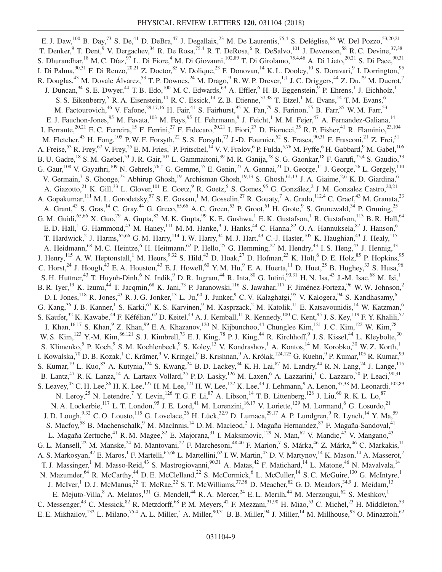E. J. Daw,<sup>100</sup> B. Day,<sup>73</sup> S. De,<sup>41</sup> D. DeBra,<sup>47</sup> J. Degallaix,<sup>23</sup> M. De Laurentis,<sup>75,4</sup> S. Deléglise,<sup>68</sup> W. Del Pozzo,<sup>53,20,21</sup> T. Denker, $9$  T. Dent, $9$  V. Dergachev, $34$  R. De Rosa, $75,4$  R. T. DeRosa, $6$  R. DeSalvo, $101$  J. Devenson, $58$  R. C. Devine, $37,38$ S. Dhurandhar,<sup>18</sup> M. C. Díaz,  $\overline{97}$  L. Di Fiore,<sup>4</sup> M. Di Giovanni,<sup>102,89</sup> T. Di Girolamo,<sup>75,4,46</sup> A. Di Lieto,<sup>20,21</sup> S. Di Pace,<sup>90,31</sup> I. Di Palma,  $90,31$  F. Di Renzo,  $20,21$  Z. Doctor,  $85$  V. Dolique,  $23$  F. Donovan,  $14$  K. L. Dooley,  $10$  S. Doravari,  $9$  I. Dorrington,  $95$ R. Douglas,<sup>43</sup> M. Dovale Álvarez,<sup>53</sup> T. P. Downes,<sup>24</sup> M. Drago,<sup>9</sup> R. W. P. Drever,<sup>1,[†](#page-13-0)</sup> J. C. Driggers,<sup>44</sup> Z. Du,<sup>79</sup> M. Ducrot,<sup>7</sup> J. Duncan,  $94$  S. E. Dwyer,  $44$  T. B. Edo,  $^{100}$  M. C. Edwards,  $^{69}$  A. Effler,  $^{6}$  H.-B. Eggenstein,  $^{9}$  P. Ehrens,  $^{1}$  J. Eichholz,  $^{1}$ S. S. Eikenberry,<sup>5</sup> R. A. Eisenstein,<sup>14</sup> R. C. Essick,<sup>14</sup> Z. B. Etienne,<sup>37,38</sup> T. Etzel,<sup>1</sup> M. Evans,<sup>14</sup> T. M. Evans,<sup>6</sup> M. Factourovich,<sup>46</sup> V. Fafone,<sup>29,17,16</sup> H. Fair,<sup>41</sup> S. Fairhurst,<sup>95</sup> X. Fan,<sup>79</sup> S. Farinon,<sup>55</sup> B. Farr,<sup>85</sup> W. M. Farr,<sup>53</sup> E. J. Fauchon-Jones,<sup>95</sup> M. Favata,<sup>103</sup> M. Fays,<sup>95</sup> H. Fehrmann,<sup>9</sup> J. Feicht,<sup>1</sup> M. M. Fejer,<sup>47</sup> A. Fernandez-Galiana,<sup>14</sup> I. Ferrante,<sup>20,21</sup> E.C. Ferreira,<sup>15</sup> F. Ferrini,<sup>27</sup> F. Fidecaro,<sup>20,21</sup> I. Fiori,<sup>27</sup> D. Fiorucci,<sup>35</sup> R. P. Fisher,<sup>41</sup> R. Flaminio,<sup>23,104</sup> M. Fletcher,<sup>43</sup> H. Fong,<sup>105</sup> P. W. F. Forsyth,<sup>22</sup> S. S. Forsyth,<sup>73</sup> J.-D. Fournier,<sup>62</sup> S. Frasca,<sup>90,31</sup> F. Frasconi,<sup>21</sup> Z. Frei,<sup>51</sup> A. Freise,<sup>53</sup> R. Frey,<sup>67</sup> V. Frey,<sup>25</sup> E. M. Fries,<sup>1</sup> P. Fritschel,<sup>14</sup> V. V. Frolov,<sup>6</sup> P. Fulda,<sup>5,76</sup> M. Fyffe,<sup>6</sup> H. Gabbard,<sup>9</sup> M. Gabel,<sup>106</sup> B. U. Gadre,<sup>18</sup> S. M. Gaebel,<sup>53</sup> J. R. Gair,<sup>107</sup> L. Gammaitoni,<sup>39</sup> M. R. Ganija,<sup>78</sup> S. G. Gaonkar,<sup>18</sup> F. Garufi,<sup>75,4</sup> S. Gaudio,<sup>33</sup> G. Gaur,  $^{108}$  V. Gayathri,  $^{109}$  N. Gehrels,  $^{76, \dagger}$  G. Gemme,  $^{55}$  E. Genin,  $^{27}$  A. Gennai,  $^{21}$  D. George,  $^{11}$  J. George,  $^{56}$  L. Gergely,  $^{110}$ V. Germain,<sup>7</sup> S. Ghonge,<sup>73</sup> Abhirup Ghosh,<sup>19</sup> Archisman Ghosh,<sup>19,13</sup> S. Ghosh,<sup>61,13</sup> J. A. Giaime,<sup>2,6</sup> K. D. Giardina,<sup>6</sup> A. Giazotto,<sup>21</sup> K. Gill,<sup>33</sup> L. Glover,<sup>101</sup> E. Goetz,<sup>9</sup> R. Goetz,<sup>5</sup> S. Gomes,<sup>95</sup> G. González,<sup>2</sup> J. M. Gonzalez Castro,<sup>20,21</sup> A. Gopakumar,<sup>111</sup> M. L. Gorodetsky,<sup>57</sup> S. E. Gossan,<sup>1</sup> M. Gosselin,<sup>27</sup> R. Gouaty,<sup>7</sup> A. Grado,<sup>112,4</sup> C. Graef,<sup>43</sup> M. Granata,<sup>23</sup> A. Grant,<sup>43</sup> S. Gras,<sup>14</sup> C. Gray,<sup>44</sup> G. Greco,<sup>65,66</sup> A. C. Green,<sup>53</sup> P. Groot,<sup>61</sup> H. Grote,<sup>9</sup> S. Grunewald,<sup>34</sup> P. Gruning,<sup>25</sup> G. M. Guidi,<sup>65,66</sup> X. Guo,<sup>79</sup> A. Gupta,<sup>82</sup> M. K. Gupta,<sup>99</sup> K. E. Gushwa,<sup>1</sup> E. K. Gustafson,<sup>1</sup> R. Gustafson,<sup>113</sup> B. R. Hall,<sup>64</sup> E. D. Hall,<sup>1</sup> G. Hammond,<sup>43</sup> M. Haney,<sup>111</sup> M. M. Hanke,<sup>9</sup> J. Hanks,<sup>44</sup> C. Hanna,<sup>82</sup> O. A. Hannuksela,<sup>87</sup> J. Hanson,<sup>6</sup> T. Hardwick,<sup>2</sup> J. Harms,<sup>65,66</sup> G. M. Harry,<sup>114</sup> I. W. Harry,<sup>34</sup> M. J. Hart,<sup>43</sup> C.-J. Haster,<sup>105</sup> K. Haughian,<sup>43</sup> J. Healy,<sup>115</sup> A. Heidmann,<sup>68</sup> M. C. Heintze,<sup>6</sup> H. Heitmann,<sup>62</sup> P. Hello,<sup>25</sup> G. Hemming,<sup>27</sup> M. Hendry,<sup>43</sup> I. S. Heng,<sup>43</sup> J. Hennig,<sup>43</sup> J. Henry,  $^{115}$  A. W. Heptonstall, <sup>1</sup> M. Heurs,  $^{9,32}$  S. Hild,  $^{43}$  D. Hoak,  $^{27}$  D. Hofman,  $^{23}$  K. Holt,  $^{6}$  D. E. Holz,  $^{85}$  P. Hopkins,  $^{95}$ C. Horst,<sup>24</sup> J. Hough,<sup>43</sup> E. A. Houston,<sup>43</sup> E. J. Howell,<sup>60</sup> Y. M. Hu,<sup>9</sup> E. A. Huerta,<sup>11</sup> D. Huet,<sup>25</sup> B. Hughey,<sup>33</sup> S. Husa,<sup>96</sup> S. H. Huttner,<sup>43</sup> T. Huynh-Dinh,<sup>6</sup> N. Indik,<sup>9</sup> D. R. Ingram,<sup>44</sup> R. Inta,<sup>80</sup> G. Intini,<sup>90,31</sup> H. N. Isa,<sup>43</sup> J.-M. Isac,<sup>68</sup> M. Isi,<sup>1</sup> B. R. Iyer,<sup>19</sup> K. Izumi,<sup>44</sup> T. Jacqmin,<sup>68</sup> K. Jani,<sup>73</sup> P. Jaranowski,<sup>116</sup> S. Jawahar,<sup>117</sup> F. Jiménez-Forteza,<sup>96</sup> W. W. Johnson,<sup>2</sup> D. I. Jones, <sup>118</sup> R. Jones, <sup>43</sup> R. J. G. Jonker, <sup>13</sup> L. Ju, <sup>60</sup> J. Junker, <sup>9</sup> C. V. Kalaghatgi, <sup>95</sup> V. Kalogera, <sup>94</sup> S. Kandhasamy, <sup>6</sup> G. Kang,  $36$  J. B. Kanner,  $1$  S. Karki,  $67$  K. S. Karvinen,  $9$  M. Kasprzack,  $2$  M. Katolik,  $11$  E. Katsavounidis,  $14$  W. Katzman,  $6$ S. Kaufer,<sup>32</sup> K. Kawabe,<sup>44</sup> F. Kéfélian,<sup>62</sup> D. Keitel,<sup>43</sup> A. J. Kemball,<sup>11</sup> R. Kennedy,<sup>100</sup> C. Kent,<sup>95</sup> J. S. Key,<sup>119</sup> F. Y. Khalili,<sup>57</sup> I. Khan,<sup>16,17</sup> S. Khan,<sup>9</sup> Z. Khan,<sup>99</sup> E. A. Khazanov,<sup>120</sup> N. Kijbunchoo,<sup>44</sup> Chunglee Kim,<sup>121</sup> J. C. Kim,<sup>122</sup> W. Kim,<sup>78</sup> W. S. Kim,<sup>123</sup> Y.-M. Kim,<sup>86,121</sup> S. J. Kimbrell,<sup>73</sup> E. J. King,<sup>78</sup> P. J. King,<sup>44</sup> R. Kirchhoff,<sup>9</sup> J. S. Kissel,<sup>44</sup> L. Kleybolte,<sup>30</sup> S. Klimenko,<sup>5</sup> P. Koch,<sup>9</sup> S. M. Koehlenbeck,<sup>9</sup> S. Koley,<sup>13</sup> V. Kondrashov,<sup>1</sup> A. Kontos,<sup>14</sup> M. Korobko,<sup>30</sup> W. Z. Korth,<sup>1</sup> I. Kowalska,<sup>70</sup> D. B. Kozak,<sup>1</sup> C. Krämer,<sup>9</sup> V. Kringel,<sup>9</sup> B. Krishnan,<sup>9</sup> A. Królak,<sup>124,125</sup> G. Kuehn,<sup>9</sup> P. Kumar,<sup>105</sup> R. Kumar,<sup>99</sup> S. Kumar,<sup>19</sup> L. Kuo,<sup>83</sup> A. Kutynia,<sup>124</sup> S. Kwang,<sup>24</sup> B. D. Lackey,<sup>34</sup> K. H. Lai,<sup>87</sup> M. Landry,<sup>44</sup> R. N. Lang,<sup>24</sup> J. Lange,<sup>115</sup> B. Lantz,<sup>47</sup> R. K. Lanza,<sup>14</sup> A. Lartaux-Vollard,<sup>25</sup> P. D. Lasky,<sup>126</sup> M. Laxen,<sup>6</sup> A. Lazzarini,<sup>1</sup> C. Lazzaro,<sup>50</sup> P. Leaci,<sup>90,31</sup> S. Leavey,<sup>43</sup> C. H. Lee,<sup>86</sup> H. K. Lee,<sup>127</sup> H. M. Lee,<sup>121</sup> H. W. Lee,<sup>122</sup> K. Lee,<sup>43</sup> J. Lehmann,<sup>9</sup> A. Lenon,<sup>37,38</sup> M. Leonardi,<sup>102,89</sup> N. Leroy,<sup>25</sup> N. Letendre,<sup>7</sup> Y. Levin,<sup>126</sup> T. G. F. Li,<sup>87</sup> A. Libson,<sup>14</sup> T. B. Littenberg,<sup>128</sup> J. Liu,<sup>60</sup> R. K. L. Lo,<sup>87</sup> N. A. Lockerbie,<sup>117</sup> L. T. London,<sup>95</sup> J. E. Lord,<sup>41</sup> M. Lorenzini,<sup>16,17</sup> V. Loriette,<sup>129</sup> M. Lormand,<sup>6</sup> G. Losurdo,<sup>21</sup> J. D. Lough,<sup>9,32</sup> C. O. Lousto,<sup>115</sup> G. Lovelace,<sup>26</sup> H. Lück,<sup>32,9</sup> D. Lumaca,<sup>29,17</sup> A. P. Lundgren,<sup>9</sup> R. Lynch,<sup>14</sup> Y. Ma,<sup>59</sup> S. Macfoy,<sup>58</sup> B. Machenschalk,<sup>9</sup> M. MacInnis,<sup>14</sup> D. M. Macleod,<sup>2</sup> I. Magaña Hernandez,<sup>87</sup> F. Magaña-Sandoval,<sup>41</sup> L. Magaña Zertuche,<sup>41</sup> R. M. Magee,<sup>82</sup> E. Majorana,<sup>31</sup> I. Maksimovic,<sup>129</sup> N. Man,<sup>62</sup> V. Mandic,<sup>42</sup> V. Mangano,<sup>43</sup> G. L. Mansell,<sup>22</sup> M. Manske,<sup>24</sup> M. Mantovani,<sup>27</sup> F. Marchesoni,<sup>48,40</sup> F. Marion,<sup>7</sup> S. Márka,<sup>46</sup> Z. Márka,<sup>46</sup> C. Markakis,<sup>11</sup> A. S. Markosyan,<sup>47</sup> E. Maros,<sup>1</sup> F. Martelli,<sup>65,66</sup> L. Martellini,<sup>62</sup> I. W. Martin,<sup>43</sup> D. V. Martynov,<sup>14</sup> K. Mason,<sup>14</sup> A. Masserot,<sup>7</sup> T. J. Massinger,<sup>1</sup> M. Masso-Reid,<sup>43</sup> S. Mastrogiovanni,<sup>90,31</sup> A. Matas,<sup>42</sup> F. Matichard,<sup>14</sup> L. Matone,<sup>46</sup> N. Mavalvala,<sup>14</sup> N. Mazumder,<sup>64</sup> R. McCarthy,<sup>44</sup> D. E. McClelland,<sup>22</sup> S. McCormick,<sup>6</sup> L. McCuller,<sup>14</sup> S. C. McGuire,<sup>130</sup> G. McIntyre,<sup>1</sup> J. McIver,<sup>1</sup> D. J. McManus,<sup>22</sup> T. McRae,<sup>22</sup> S. T. McWilliams,<sup>37,38</sup> D. Meacher,<sup>82</sup> G. D. Meadors,<sup>34,9</sup> J. Meidam,<sup>13</sup> E. Mejuto-Villa, <sup>8</sup> A. Melatos,<sup>131</sup> G. Mendell,<sup>44</sup> R. A. Mercer,<sup>24</sup> E. L. Merilh,<sup>44</sup> M. Merzougui,<sup>62</sup> S. Meshkov,<sup>1</sup> C. Messenger,<sup>43</sup> C. Messick,<sup>82</sup> R. Metzdorff,<sup>68</sup> P. M. Meyers,<sup>42</sup> F. Mezzani,<sup>31,90</sup> H. Miao,<sup>53</sup> C. Michel,<sup>23</sup> H. Middleton,<sup>53</sup> E. E. Mikhailov,  $^{132}$  L. Milano,  $^{75,4}$  A. L. Miller,  $^5$  A. Miller,  $^{90,31}$  B. B. Miller,  $^{94}$  J. Miller,  $^{14}$  M. Millhouse,  $^{93}$  O. Minazzoli,  $^{62}$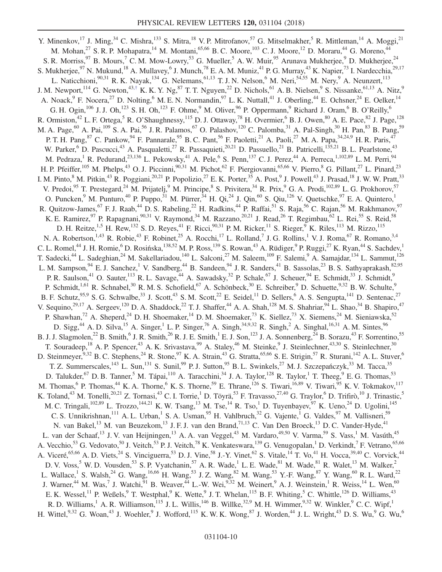Y. Minenkov,<sup>17</sup> J. Ming,<sup>34</sup> C. Mishra,<sup>133</sup> S. Mitra,<sup>18</sup> V. P. Mitrofanov,<sup>57</sup> G. Mitselmakher,<sup>5</sup> R. Mittleman,<sup>14</sup> A. Moggi,<sup>21</sup> M. Mohan,<sup>27</sup> S. R. P. Mohapatra,<sup>14</sup> M. Montani,<sup>65,66</sup> B. C. Moore,<sup>103</sup> C. J. Moore,<sup>12</sup> D. Moraru,<sup>44</sup> G. Moreno,<sup>44</sup> S. R. Morriss,  $97$  B. Mours,  $7$  C. M. Mow-Lowry,  $53$  G. Mueller,  $5$  A. W. Muir,  $95$  Arunava Mukherjee,  $9$  D. Mukherjee,  $24$ S. Mukherjee,<sup>97</sup> N. Mukund,<sup>18</sup> A. Mullavey, <sup>6</sup> J. Munch,<sup>78</sup> E. A. M. Muniz, <sup>41</sup> P. G. Murray, <sup>43</sup> K. Napier, <sup>73</sup> I. Nardecchia, <sup>29,17</sup> L. Naticchioni,<sup>90,31</sup> R. K. Nayak,<sup>134</sup> G. Nelemans,<sup>61,13</sup> T. J. N. Nelson,<sup>6</sup> M. Neri,<sup>54,55</sup> M. Nery,<sup>9</sup> A. Neunzert,<sup>113</sup> J. M. Newport,  $^{114}$  G. Newton,  $^{43, \dagger}$  K. K. Y. Ng,  $^{87}$  T. T. Nguyen,  $^{22}$  D. Nichols,  $^{61}$  A. B. Nielsen,  $^{9}$  S. Nissanke,  $^{61,13}$  A. Nitz,  $^{9}$ A. Noack,<sup>9</sup> F. Nocera,<sup>27</sup> D. Nolting,<sup>6</sup> M. E. N. Normandin,<sup>97</sup> L. K. Nuttall,<sup>41</sup> J. Oberling,<sup>44</sup> E. Ochsner,<sup>24</sup> E. Oelker,<sup>14</sup> G. H. Ogin,<sup>106</sup> J. J. Oh,<sup>123</sup> S. H. Oh,<sup>123</sup> F. Ohme,<sup>9</sup> M. Oliver,<sup>96</sup> P. Oppermann,<sup>9</sup> Richard J. Oram,<sup>6</sup> B. O'Reilly,<sup>6</sup> R. Ormiston,<sup>42</sup> L. F. Ortega,<sup>5</sup> R. O'Shaughnessy,<sup>115</sup> D. J. Ottaway,<sup>78</sup> H. Overmier,<sup>6</sup> B. J. Owen,<sup>80</sup> A. E. Pace,<sup>82</sup> J. Page,<sup>128</sup> M. A. Page,<sup>60</sup> A. Pai,<sup>109</sup> S. A. Pai,<sup>56</sup> J. R. Palamos,<sup>67</sup> O. Palashov,<sup>120</sup> C. Palomba,<sup>31</sup> A. Pal-Singh,<sup>30</sup> H. Pan,<sup>83</sup> B. Pang,<sup>59</sup> P. T. H. Pang, <sup>87</sup> C. Pankow, <sup>94</sup> F. Pannarale, <sup>95</sup> B. C. Pant, <sup>56</sup> F. Paoletti, <sup>21</sup> A. Paoli, <sup>27</sup> M. A. Papa, <sup>34, 24, 9</sup> H. R. Paris, <sup>47</sup> W. Parker,<sup>6</sup> D. Pascucci,<sup>43</sup> A. Pasqualetti,<sup>27</sup> R. Passaquieti,<sup>20,21</sup> D. Passuello,<sup>21</sup> B. Patricelli,<sup>135,21</sup> B. L. Pearlstone,<sup>43</sup> M. Pedraza,<sup>1</sup> R. Pedurand,<sup>23,136</sup> L. Pekowsky,<sup>41</sup> A. Pele,<sup>6</sup> S. Penn,<sup>137</sup> C. J. Perez,<sup>44</sup> A. Perreca,<sup>1,102,89</sup> L. M. Perri,<sup>94</sup> H. P. Pfeiffer,<sup>105</sup> M. Phelps,<sup>43</sup> O. J. Piccinni,<sup>90,31</sup> M. Pichot,<sup>62</sup> F. Piergiovanni,<sup>65,66</sup> V. Pierro,<sup>8</sup> G. Pillant,<sup>27</sup> L. Pinard,<sup>23</sup> I. M. Pinto,  $8$  M. Pitkin,  $43$  R. Poggiani,  $20,21$  P. Popolizio,  $27$  E. K. Porter,  $35$  A. Post,  $9$  J. Powell,  $43$  J. Prasad,  $18$  J. W. W. Pratt,  $33$ V. Predoi, <sup>95</sup> T. Prestegard, <sup>24</sup> M. Prijatelj, <sup>9</sup> M. Principe, <sup>8</sup> S. Privitera, <sup>34</sup> R. Prix, <sup>9</sup> G. A. Prodi, <sup>102,89</sup> L. G. Prokhorov, <sup>57</sup> O. Puncken,<sup>9</sup> M. Punturo,<sup>40</sup> P. Puppo,<sup>31</sup> M. Pürrer,<sup>34</sup> H. Qi,<sup>24</sup> J. Qin,<sup>60</sup> S. Qiu,<sup>126</sup> V. Quetschke,<sup>97</sup> E. A. Quintero,<sup>1</sup> R. Quitzow-James, <sup>67</sup> F. J. Raab, <sup>44</sup> D. S. Rabeling, <sup>22</sup> H. Radkins, <sup>44</sup> P. Raffai, <sup>51</sup> S. Raja, <sup>56</sup> C. Rajan, <sup>56</sup> M. Rakhmanov, <sup>97</sup> K. E. Ramirez, <sup>97</sup> P. Rapagnani, <sup>90,31</sup> V. Raymond, <sup>34</sup> M. Razzano, <sup>20,21</sup> J. Read, <sup>26</sup> T. Regimbau, <sup>62</sup> L. Rei, <sup>55</sup> S. Reid, <sup>58</sup> D. H. Reitze,<sup>1,5</sup> H. Rew,<sup>132</sup> S. D. Reyes,<sup>41</sup> F. Ricci,<sup>90,31</sup> P. M. Ricker,<sup>11</sup> S. Rieger,<sup>9</sup> K. Riles,<sup>113</sup> M. Rizzo,<sup>115</sup> N. A. Robertson,  $^{1,43}$  R. Robie,  $^{43}$  F. Robinet,  $^{25}$  A. Rocchi,  $^{17}$  L. Rolland,  $^{7}$  J. G. Rollins,  $^{1}$  V. J. Roma,  $^{67}$  R. Romano,  $^{3,4}$ C. L. Romel,<sup>44</sup> J. H. Romie,<sup>6</sup> D. Rosińska,<sup>138,52</sup> M. P. Ross,<sup>139</sup> S. Rowan,<sup>43</sup> A. Rüdiger,<sup>9</sup> P. Ruggi,<sup>27</sup> K. Ryan,<sup>44</sup> S. Sachdev,<sup>1</sup> T. Sadecki,<sup>44</sup> L. Sadeghian,<sup>24</sup> M. Sakellariadou,<sup>140</sup> L. Salconi,<sup>27</sup> M. Saleem,<sup>109</sup> F. Salemi,<sup>9</sup> A. Samajdar,<sup>134</sup> L. Sammut,<sup>126</sup> L. M. Sampson,  $94$  E. J. Sanchez, V. Sandberg,  $44$  B. Sandeen,  $94$  J. R. Sanders,  $41$  B. Sassolas,  $23$  B. S. Sathyaprakash,  $82,95$ P. R. Saulson,<sup>41</sup> O. Sauter,<sup>113</sup> R. L. Savage,<sup>44</sup> A. Sawadsky,<sup>32</sup> P. Schale,<sup>67</sup> J. Scheuer,<sup>94</sup> E. Schmidt,<sup>33</sup> J. Schmidt,<sup>9</sup> P. Schmidt,<sup>1,61</sup> R. Schnabel,<sup>30</sup> R. M. S. Schofield,<sup>67</sup> A. Schönbeck,<sup>30</sup> E. Schreiber,<sup>9</sup> D. Schuette,<sup>9,32</sup> B. W. Schulte,<sup>9</sup> B. F. Schutz,<sup>95,9</sup> S. G. Schwalbe,<sup>33</sup> J. Scott,<sup>43</sup> S. M. Scott,<sup>22</sup> E. Seidel,<sup>11</sup> D. Sellers,<sup>6</sup> A. S. Sengupta,<sup>141</sup> D. Sentenac,<sup>27</sup> V. Sequino,<sup>29,17</sup> A. Sergeev,<sup>120</sup> D. A. Shaddock,<sup>22</sup> T. J. Shaffer,<sup>44</sup> A. A. Shah,<sup>128</sup> M. S. Shahriar,<sup>94</sup> L. Shao,<sup>34</sup> B. Shapiro,<sup>47</sup> P. Shawhan,<sup>72</sup> A. Sheperd,<sup>24</sup> D. H. Shoemaker,<sup>14</sup> D. M. Shoemaker,<sup>73</sup> K. Siellez,<sup>73</sup> X. Siemens,<sup>24</sup> M. Sieniawska,<sup>52</sup> D. Sigg,<sup>44</sup> A. D. Silva,<sup>15</sup> A. Singer,<sup>1</sup> L. P. Singer,<sup>76</sup> A. Singh,<sup>34,9,32</sup> R. Singh,<sup>2</sup> A. Singhal,<sup>16,31</sup> A. M. Sintes,<sup>96</sup> B. J. J. Slagmolen,<sup>22</sup> B. Smith,<sup>6</sup> J. R. Smith,<sup>26</sup> R. J. E. Smith,<sup>1</sup> E. J. Son,<sup>123</sup> J. A. Sonnenberg,<sup>24</sup> B. Sorazu,<sup>43</sup> F. Sorrentino,<sup>55</sup> T. Souradeep,<sup>18</sup> A. P. Spencer,<sup>43</sup> A. K. Srivastava,<sup>99</sup> A. Staley,<sup>46</sup> M. Steinke,<sup>9</sup> J. Steinlechner,<sup>43,30</sup> S. Steinlechner,<sup>30</sup> D. Steinmeyer,<sup>9,32</sup> B. C. Stephens,<sup>24</sup> R. Stone,<sup>97</sup> K. A. Strain,<sup>43</sup> G. Stratta,<sup>65,66</sup> S. E. Strigin,<sup>57</sup> R. Sturani,<sup>142</sup> A. L. Stuver,<sup>6</sup> T. Z. Summerscales,<sup>143</sup> L. Sun,<sup>131</sup> S. Sunil,<sup>99</sup> P. J. Sutton,<sup>95</sup> B. L. Swinkels,<sup>27</sup> M. J. Szczepańczyk,<sup>33</sup> M. Tacca,<sup>35</sup> D. Talukder,<sup>67</sup> D. B. Tanner,<sup>5</sup> M. Tápai,<sup>110</sup> A. Taracchini,<sup>34</sup> J. A. Taylor,<sup>128</sup> R. Taylor,<sup>1</sup> T. Theeg,<sup>9</sup> E. G. Thomas,<sup>53</sup> M. Thomas,  $6$  P. Thomas,  $44$  K. A. Thorne,  $6$  K. S. Thorne,  $59$  E. Thrane,  $126$  S. Tiwari,  $16,89$  V. Tiwari,  $95$  K. V. Tokmakov,  $117$ K. Toland,<sup>43</sup> M. Tonelli,<sup>20,21</sup> Z. Tornasi,<sup>43</sup> C. I. Torrie,<sup>1</sup> D. Töyrä,<sup>53</sup> F. Travasso,<sup>27,40</sup> G. Traylor,<sup>6</sup> D. Trifirò,<sup>10</sup> J. Trinastic,<sup>5</sup> M. C. Tringali,<sup>102,89</sup> L. Trozzo,<sup>144,21</sup> K. W. Tsang,<sup>13</sup> M. Tse,<sup>14</sup> R. Tso,<sup>1</sup> D. Tuyenbayev,<sup>97</sup> K. Ueno,<sup>24</sup> D. Ugolini,<sup>145</sup> C. S. Unnikrishnan,<sup>111</sup> A. L. Urban,<sup>1</sup> S. A. Usman,<sup>95</sup> H. Vahlbruch,<sup>32</sup> G. Vajente,<sup>1</sup> G. Valdes,<sup>97</sup> M. Vallisneri,<sup>59</sup> N. van Bakel,<sup>13</sup> M. van Beuzekom,<sup>13</sup> J. F. J. van den Brand,<sup>71,13</sup> C. Van Den Broeck,<sup>13</sup> D. C. Vander-Hyde,<sup>41</sup> L. van der Schaaf,<sup>13</sup> J. V. van Heijningen,<sup>13</sup> A. A. van Veggel,<sup>43</sup> M. Vardaro,<sup>49,50</sup> V. Varma,<sup>59</sup> S. Vass,<sup>1</sup> M. Vasúth,<sup>45</sup> A. Vecchio,<sup>53</sup> G. Vedovato,<sup>50</sup> J. Veitch,<sup>53</sup> P. J. Veitch,<sup>78</sup> K. Venkateswara,<sup>139</sup> G. Venugopalan,<sup>1</sup> D. Verkindt,<sup>7</sup> F. Vetrano,<sup>65,66</sup> A. Viceré,<sup>65,66</sup> A. D. Viets,<sup>24</sup> S. Vinciguerra,<sup>53</sup> D. J. Vine,<sup>58</sup> J.-Y. Vinet,<sup>62</sup> S. Vitale,<sup>14</sup> T. Vo,<sup>41</sup> H. Vocca,<sup>39,40</sup> C. Vorvick,<sup>44</sup> D. V. Voss,<sup>5</sup> W. D. Vousden,<sup>53</sup> S. P. Vyatchanin,<sup>57</sup> A. R. Wade,<sup>1</sup> L. E. Wade,<sup>81</sup> M. Wade,<sup>81</sup> R. Walet,<sup>13</sup> M. Walker,<sup>2</sup> L. Wallace,<sup>1</sup> S. Walsh,<sup>24</sup> G. Wang,<sup>16,66</sup> H. Wang,<sup>53</sup> J. Z. Wang,<sup>82</sup> M. Wang,<sup>53</sup> Y.-F. Wang,<sup>87</sup> Y. Wang,<sup>60</sup> R. L. Ward,<sup>22</sup> J. Warner,<sup>44</sup> M. Was,<sup>7</sup> J. Watchi,<sup>91</sup> B. Weaver,<sup>44</sup> L.-W. Wei,<sup>9,32</sup> M. Weinert,<sup>9</sup> A. J. Weinstein,<sup>1</sup> R. Weiss,<sup>14</sup> L. Wen,<sup>60</sup> E. K. Wessel,<sup>11</sup> P. Weßels,<sup>9</sup> T. Westphal,<sup>9</sup> K. Wette,<sup>9</sup> J. T. Whelan,<sup>115</sup> B. F. Whiting,<sup>5</sup> C. Whittle,<sup>126</sup> D. Williams,<sup>43</sup> R. D. Williams,<sup>1</sup> A. R. Williamson,<sup>115</sup> J. L. Willis,<sup>146</sup> B. Willke,<sup>32,9</sup> M. H. Wimmer,<sup>9,32</sup> W. Winkler,<sup>9</sup> C. C. Wipf,<sup>1</sup> H. Wittel,  $9.32$  G. Woan,  $43$  J. Woehler,  $9$  J. Wofford,  $115$  K. W. K. Wong,  $87$  J. Worden,  $44$  J. L. Wright,  $43$  D. S. Wu,  $9$  G. Wu,  $6$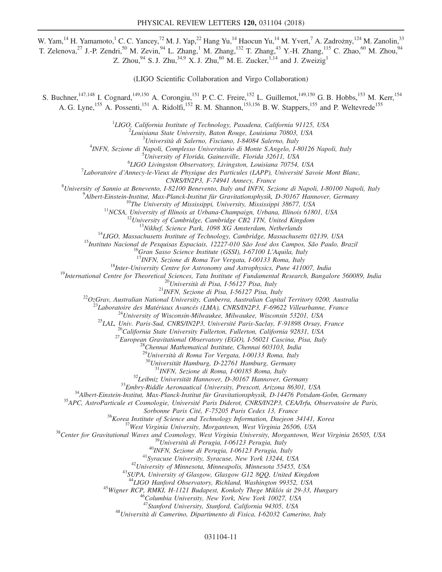W. Yam,<sup>14</sup> H. Yamamoto,<sup>1</sup> C. C. Yancey,<sup>72</sup> M. J. Yap,<sup>22</sup> Hang Yu,<sup>14</sup> Haocun Yu,<sup>14</sup> M. Yvert,<sup>7</sup> A. Zadrożny,<sup>124</sup> M. Zanolin,<sup>33</sup> T. Zelenova,<sup>27</sup> J.-P. Zendri,<sup>50</sup> M. Zevin,<sup>94</sup> L. Zhang,<sup>1</sup> M. Zhang,<sup>132</sup> T. Zhang,<sup>43</sup> Y.-H. Zhang,<sup>115</sup> C. Zhao,<sup>60</sup> M. Zhou,<sup>94</sup> Z. Zhou,<sup>94</sup> S. J. Zhu,<sup>34,9</sup> X. J. Zhu,<sup>60</sup> M. E. Zucker,<sup>1,14</sup> and J. Zweizig<sup>1</sup>

(LIGO Scientific Collaboration and Virgo Collaboration)

S. Buchner,  $^{147,148}$  I. Cognard,  $^{149,150}$  A. Corongiu,  $^{151}$  P. C. C. Freire,  $^{152}$  L. Guillemot,  $^{149,150}$  G. B. Hobbs,  $^{153}$  M. Kerr,  $^{154}$ A. G. Lyne,<sup>155</sup> A. Possenti,<sup>151</sup> A. Ridolfi,<sup>152</sup> R. M. Shannon,<sup>153,156</sup> B. W. Stappers,<sup>155</sup> and P. Weltevrede<sup>155</sup>

<sup>1</sup>LIGO, California Institute of Technology, Pasadena, California 91125, USA<br> $\frac{2}{5}I$  quisique State University, Pator Pouce, Louisique 70803, USA

 ${}^{2}$ Louisiana State University, Baton Rouge, Louisiana 70803, USA  ${}^{3}$ Università di Salerno, Fisciano, I-84084 Salerno, Italy

Università di Salerno, Fisciano, I-84084 Salerno, Italy  $\frac{4}{NEN}$  Satisma di Napoli Complexes Universitatio di Monte Schnocle J.

INFN, Sezione di Napoli, Complesso Universitario di Monte S.Angelo, I-80126 Napoli, Italy<br><sup>5</sup>Llaivarsity of Florida, Cainewilla, Florida 32611, USA

 $5$ University of Florida, Gainesville, Florida 32611, USA

 ${}^{6}LIGO$  Livingston Observatory, Livingston, Louisiana 70754, USA

 $U^{\dagger}$ Laboratoire d'Annecy-le-Vieux de Physique des Particules (LAPP), Université Savoie Mont Blanc,

CNRS/IN2P3, F-74941 Annecy, France<br><sup>8</sup>University of Sannie at Penevante, L82100 Benevante, Italy and INEN. See

University of Sannio at Benevento, I-82100 Benevento, Italy and INFN, Sezione di Napoli, I-80100 Napoli, Italy<br><sup>9</sup> Albert Finatein Institut, Max Blanck Institut für Cravitationsplassik, D. 20167 Hannover, Cermany

<sup>2</sup>Albert-Einstein-Institut, Max-Planck-Institut für Gravitationsphysik, D-30167 Hannover, Germany<br>
<sup>11</sup>NCSA, University of Mississippi, University, Mississippi 38677, USA<br>
<sup>11</sup>NCSA, University of Illinois at Urbana-Champ

<sup>29</sup>Università di Roma Tor Vergata, I-00133 Roma, Italy<br><sup>30</sup>Universität Hamburg, D-22761 Hamburg, Germany<br><sup>31</sup>INFN, Sezione di Roma, I-00185 Roma, Italy<br><sup>31</sup>INFN, Sezione di Roma, I-00185 Roma, Italy<br><sup>32</sup>Leibniz Universitä

<sup>36</sup> Korea Institute of Science and Technology Information, Daejeon 34141, Korea<br><sup>37</sup> West Virginia University, Morgantown, West Virginia 26506, USA<br><sup>38</sup> Center for Gravitational Waves and Cosmology, West Virginia Univers

<sup>45</sup>Wigner RCP, RMKI, H-1121 Budapest, Konkoly Thege Miklós út 29-33, Hungary <sup>46</sup>Columbia University, New York, New York 10027, USA <sup>47</sup>Stanford University, Stanford, California 94305, USA

 $^{48}$ Università di Camerino, Dipartimento di Fisica, I-62032 Camerino, Italy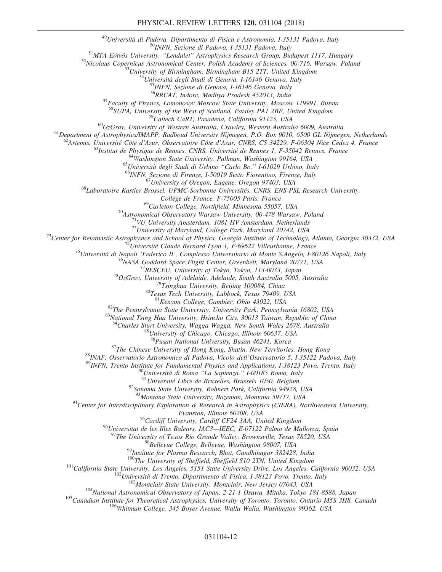## PHYSICAL REVIEW LETTERS 120, 031104 (2018)

<sup>49</sup>Università di Padova, Dipartimento di Fisica e Astronomia, I-35131 Padova, Italy<br><sup>50</sup>INFN, Sezione di Padova, I-35131 Padova, Italy<br><sup>51</sup>MTA Eötvös University, "Lendulet" Astrophysics Research Group, Budapest 1117, Hun

<sup>57</sup>Faculty of Physics, Lomonosov Moscow State University, Moscow 119991, Russia

<sup>58</sup>SUPA, University of the West of Scotland, Paisley PA1 2BE, United Kingdom<br><sup>59</sup>Caltech CaRT, Pasadena, California 91125, USA

<sup>60</sup>OzGrav, University of Western Australia, Crawley, Western Australia 6009, Australia<br><sup>61</sup>Department of Astrophysics/IMAPP, Radboud University Nijmegen, P.O. Box 9010, 6500 GL Nijmegen, Netherlands<br><sup>62</sup>Artemis, Universi

<sup>63</sup>Institut de Physique de Rennes, CNRS, Université de Rennes 1, F-35042 Rennes, France<br><sup>64</sup>Washington State University, Pullman, Washington 99164, USA<br><sup>65</sup>Università degli Studi di Urbino "Carlo Bo," I-61029 Urbino, Ita

Collège de France, F-75005 Paris, France<br><sup>69</sup>Carleton College, Northfield, Minnesota 55057, USA

<sup>70</sup>Astronomical Observatory Warsaw University, 00-478 Warsaw, Poland <sup>71</sup>VU University Amsterdam, 1081 HV Amsterdam, Netherlands <sup>72</sup>University of Maryland, College Park, Maryland 20742, USA

<sup>72</sup>Center for Relativistic Astrophysics and School of Physics, Georgia Institute of Technology, Atlanta, Georgia 30332, USA<br><sup>73</sup>Center for Relativistic Astrophysics and School of Physics, Georgia Institute of Technology,

<sup>83</sup>National Tsing Hua University, Hsinchu City, 30013 Taiwan, Republic of China<br><sup>84</sup>Charles Sturt University, Wagga Wagga, New South Wales 2678, Australia<br><sup>85</sup>University of Chicago, Chicago, Illinois 60637, USA<br><sup>86</sup>Pusan

<sup>87</sup>The Chinese University of Hong Kong, Shatin, New Territories, Hong Kong<br><sup>88</sup>INAF, Osservatorio Astronomico di Padova, Vicolo dell'Osservatorio 5, 1-35122 Padova, Italy<br><sup>89</sup>INFN, Trento Institute for Fundamental Physic

 $94$ Center for Interdisciplinary Exploration & Research in Astrophysics (CIERA), Northwestern University,

Evanston, Illinois 60208, USA

<sup>95</sup>Cardiff University, Cardiff CF24 3AA, United Kingdom

<sup>96</sup>Universitat de les Illes Balears, IAC3—IEEC, E-07122 Palma de Mallorca, Spain<br><sup>97</sup>The University of Texas Rio Grande Valley, Brownsville, Texas 78520, USA<br><sup>98</sup>Bellevue College, Bellevue, Washington 98007, USA<br><sup>99</sup>Inst

<sup>101</sup>California State University, Los Angeles, 5151 State University Drive, Los Angeles, California 90032, USA<br><sup>102</sup>Università di Trento, Dipartimento di Fisica, I-38123 Povo, Trento, Italy<br><sup>103</sup>Montclair State University